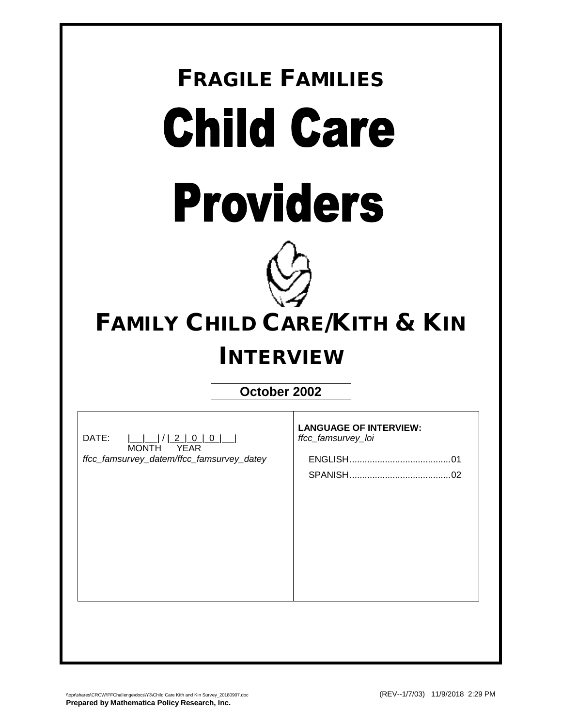| <b>Child Care</b>                                                 | <b>FRAGILE FAMILIES</b>                             |
|-------------------------------------------------------------------|-----------------------------------------------------|
| <b>Providers</b>                                                  |                                                     |
|                                                                   |                                                     |
| <b>FAMILY CHILD CARE/KITH &amp; KIN</b><br><b>INTERVIEW</b>       |                                                     |
| October 2002                                                      |                                                     |
| DATE:<br><b>YEAR</b><br>ffcc_famsurvey_datem/ffcc_famsurvey_datey | <b>LANGUAGE OF INTERVIEW:</b><br>ffcc_famsurvey_loi |
|                                                                   |                                                     |
|                                                                   |                                                     |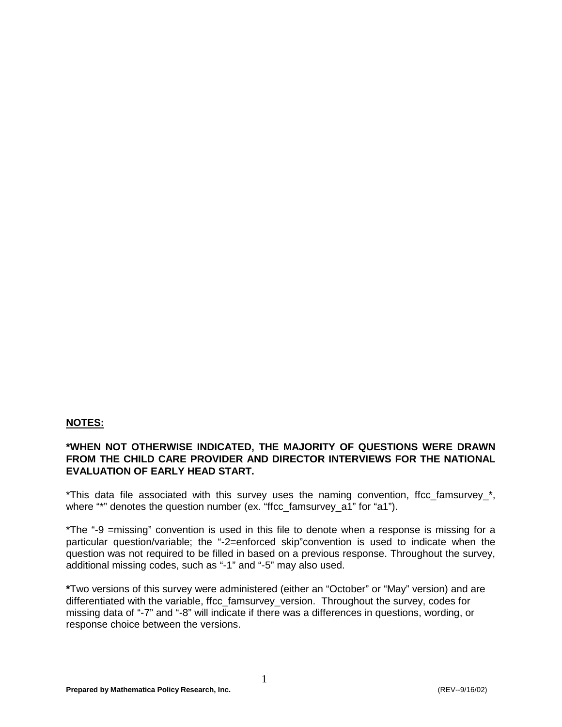### **NOTES:**

### **\*WHEN NOT OTHERWISE INDICATED, THE MAJORITY OF QUESTIONS WERE DRAWN FROM THE CHILD CARE PROVIDER AND DIRECTOR INTERVIEWS FOR THE NATIONAL EVALUATION OF EARLY HEAD START.**

\*This data file associated with this survey uses the naming convention, ffcc\_famsurvey\_\*, where "\*" denotes the question number (ex. "ffcc famsurvey a1" for "a1").

\*The "-9 =missing" convention is used in this file to denote when a response is missing for a particular question/variable; the "-2=enforced skip"convention is used to indicate when the question was not required to be filled in based on a previous response. Throughout the survey, additional missing codes, such as "-1" and "-5" may also used.

**\***Two versions of this survey were administered (either an "October" or "May" version) and are differentiated with the variable, ffcc\_famsurvey\_version. Throughout the survey, codes for missing data of "-7" and "-8" will indicate if there was a differences in questions, wording, or response choice between the versions.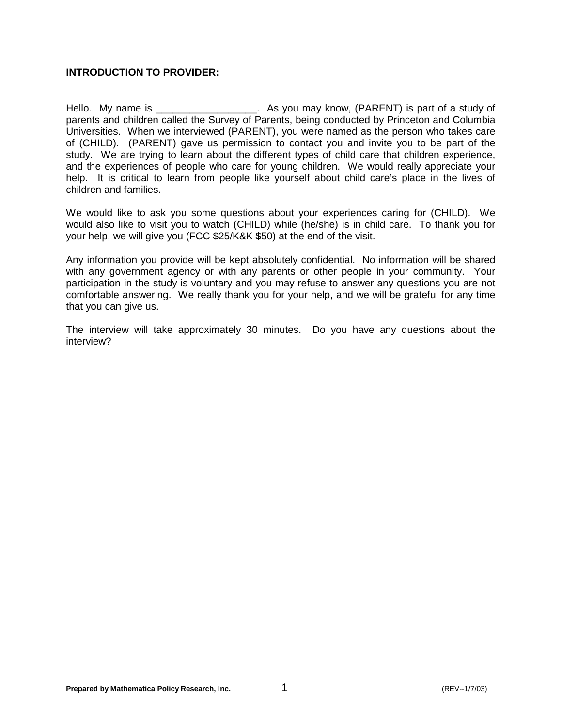## **INTRODUCTION TO PROVIDER:**

Hello. My name is \_\_\_\_\_\_\_\_\_\_\_\_\_\_\_\_\_\_\_\_\_. As you may know, (PARENT) is part of a study of parents and children called the Survey of Parents, being conducted by Princeton and Columbia Universities. When we interviewed (PARENT), you were named as the person who takes care of (CHILD). (PARENT) gave us permission to contact you and invite you to be part of the study. We are trying to learn about the different types of child care that children experience, and the experiences of people who care for young children. We would really appreciate your help. It is critical to learn from people like yourself about child care's place in the lives of children and families.

We would like to ask you some questions about your experiences caring for (CHILD). We would also like to visit you to watch (CHILD) while (he/she) is in child care. To thank you for your help, we will give you (FCC \$25/K&K \$50) at the end of the visit.

Any information you provide will be kept absolutely confidential. No information will be shared with any government agency or with any parents or other people in your community. Your participation in the study is voluntary and you may refuse to answer any questions you are not comfortable answering. We really thank you for your help, and we will be grateful for any time that you can give us.

The interview will take approximately 30 minutes. Do you have any questions about the interview?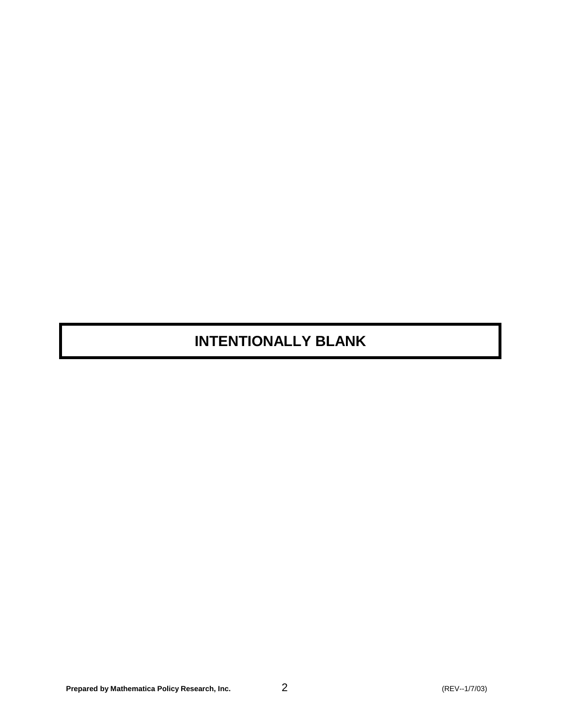# **INTENTIONALLY BLANK**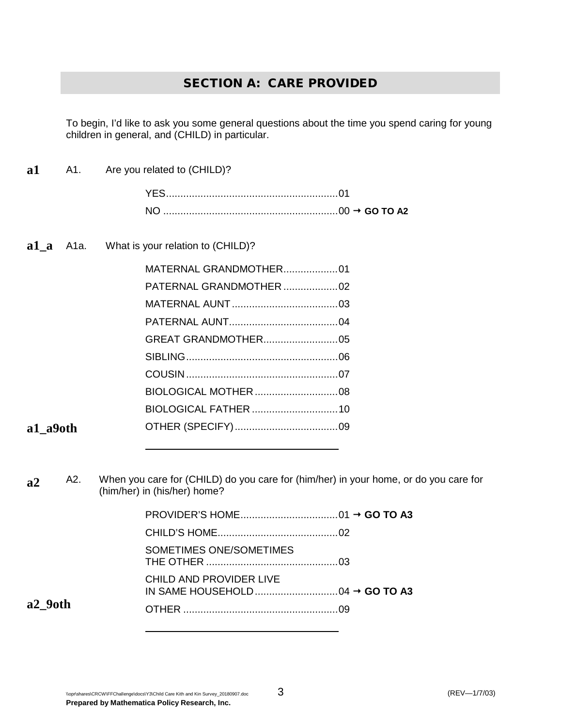## SECTION A: CARE PROVIDED

To begin, I'd like to ask you some general questions about the time you spend caring for young children in general, and (CHILD) in particular.

A1. Are you related to (CHILD)? **a1**

| NO <sub>1</sub> |  |
|-----------------|--|

What is your relation to (CHILD)? **a1\_a**

| MATERNAL GRANDMOTHER01  |  |
|-------------------------|--|
| PATERNAL GRANDMOTHER 02 |  |
|                         |  |
|                         |  |
|                         |  |
|                         |  |
|                         |  |
|                         |  |
| BIOLOGICAL FATHER 10    |  |
|                         |  |
|                         |  |

## **a1\_a9oth**

**a2\_9oth**

A2. When you care for (CHILD) do you care for (him/her) in your home, or do you care for (him/her) in (his/her) home? **a2**

| SOMETIMES ONE/SOMETIMES |  |
|-------------------------|--|
| CHILD AND PROVIDER LIVE |  |
|                         |  |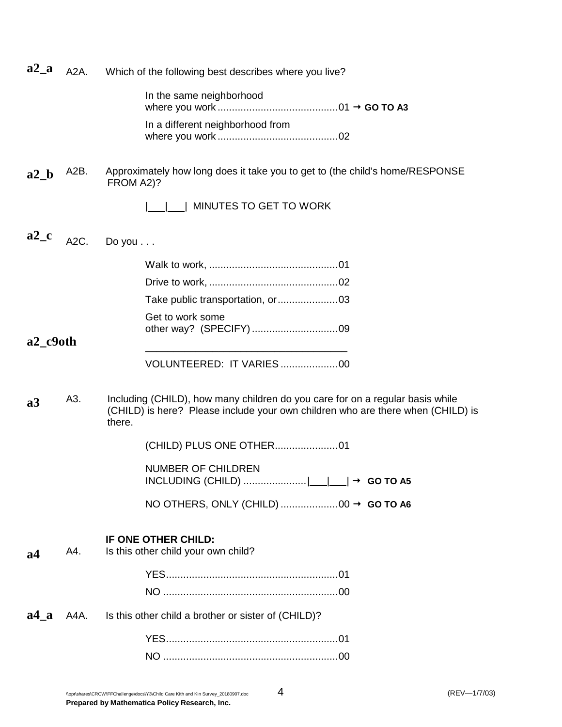A2A. Which of the following best describes where you live? In the same neighborhood where you work ..........................................01 **GO TO A3** In a different neighborhood from where you work ..........................................02 A2B. Approximately how long does it take you to get to (the child's home/RESPONSE FROM A2)? | | | MINUTES TO GET TO WORK A2C. Do you . . . Walk to work, .............................................01 Drive to work, .............................................02 Take public transportation, or.....................03 Get to work some other way? (SPECIFY)..............................09 \_\_\_\_\_\_\_\_\_\_\_\_\_\_\_\_\_\_\_\_\_\_\_\_\_\_\_\_\_\_\_\_\_\_\_\_ VOLUNTEERED: IT VARIES ....................00 A3. Including (CHILD), how many children do you care for on a regular basis while (CHILD) is here? Please include your own children who are there when (CHILD) is there. (CHILD) PLUS ONE OTHER......................01 NUMBER OF CHILDREN INCLUDING (CHILD) ......................| | | **GO TO A5** NO OTHERS, ONLY (CHILD) ......................00 → GO TO A6 **IF ONE OTHER CHILD:** A4. Is this other child your own child? YES............................................................01 NO .............................................................00 A4A. Is this other child a brother or sister of (CHILD)? YES............................................................01 NO .............................................................00 **a2\_a a2\_b a2\_c a2\_c9oth a3 a4 a4\_a**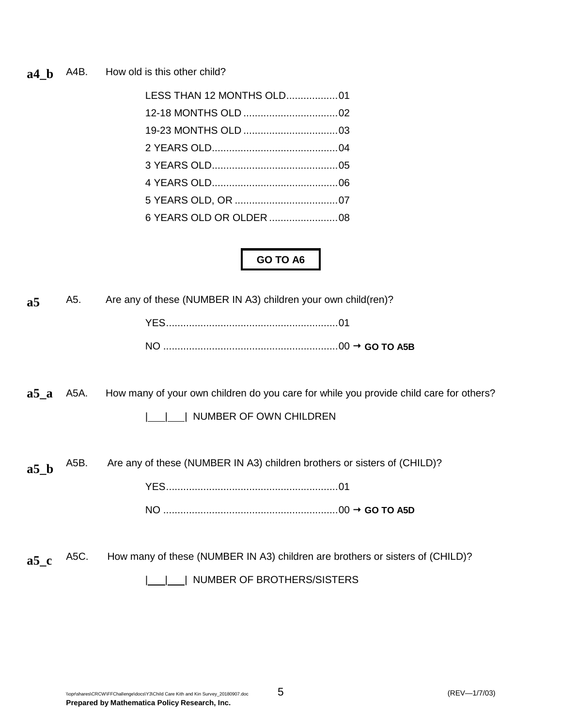A4B. How old is this other child? **a4\_b**

| LESS THAN 12 MONTHS OLD01 |  |
|---------------------------|--|
|                           |  |
|                           |  |
|                           |  |
|                           |  |
|                           |  |
|                           |  |
|                           |  |

## **GO TO A6**

A5. Are any of these (NUMBER IN A3) children your own child(ren)? YES............................................................01 NO .............................................................00 **GO TO A5B a5**

A5A. How many of your own children do you care for while you provide child care for others? **a5\_a**

| | | | | NUMBER OF OWN CHILDREN

A5B. Are any of these (NUMBER IN A3) children brothers or sisters of (CHILD)? **a5\_b**

YES............................................................01

NO .............................................................00 **GO TO A5D**

A5C. How many of these (NUMBER IN A3) children are brothers or sisters of (CHILD)? **a5\_c**

| || || NUMBER OF BROTHERS/SISTERS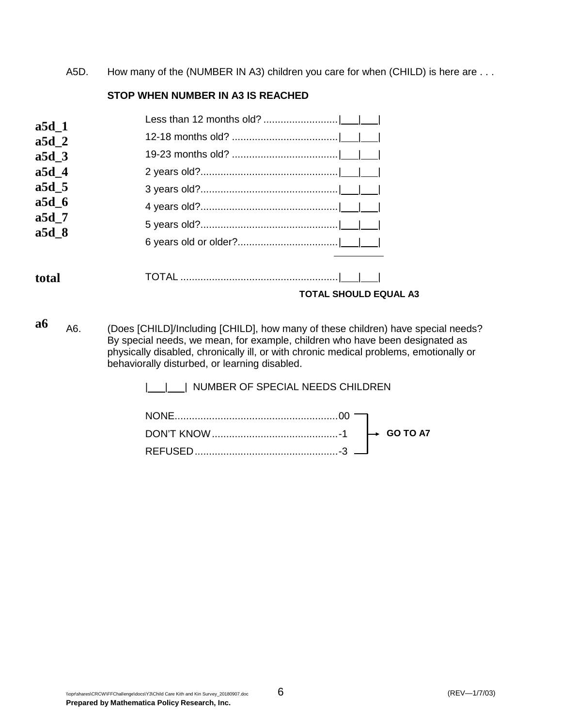A5D. How many of the (NUMBER IN A3) children you care for when (CHILD) is here are ...

## **STOP WHEN NUMBER IN A3 IS REACHED**

| $a5d_1$ |                              |
|---------|------------------------------|
| $a5d$ 2 |                              |
| $a5d$ 3 |                              |
| $a5d_4$ |                              |
| $a5d$ 5 |                              |
| $a5d_6$ |                              |
| $a5d$ 7 |                              |
| $a5d$ 8 |                              |
|         |                              |
| total   |                              |
|         | <b>TOTAL SHOULD EQUAL A3</b> |

A6. (Does [CHILD]/Including [CHILD], how many of these children) have special needs? By special needs, we mean, for example, children who have been designated as physically disabled, chronically ill, or with chronic medical problems, emotionally or behaviorally disturbed, or learning disabled. **a6**

| | | | NUMBER OF SPECIAL NEEDS CHILDREN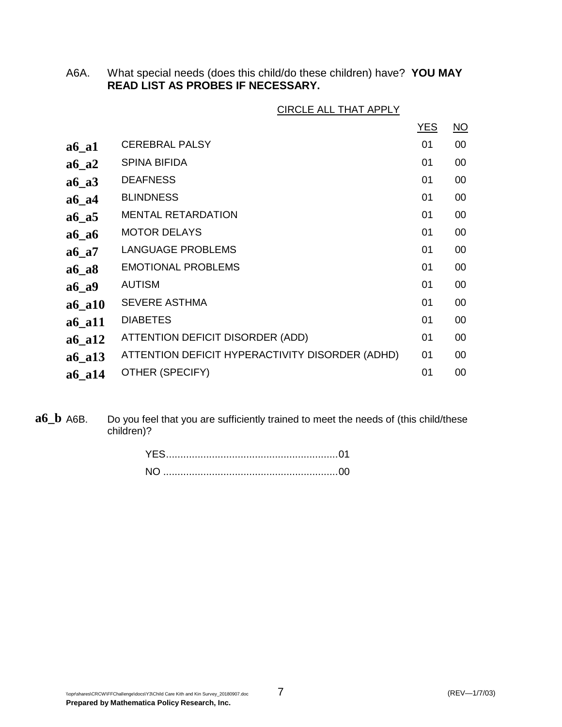A6A. What special needs (does this child/do these children) have? **YOU MAY READ LIST AS PROBES IF NECESSARY.**

|                     | VINULE ALL THAT AFFLI                           |            |                 |
|---------------------|-------------------------------------------------|------------|-----------------|
|                     |                                                 | <b>YES</b> | $\overline{NO}$ |
| $a6_a1$             | <b>CEREBRAL PALSY</b>                           | 01         | 00              |
| $a6 \ a2$           | <b>SPINA BIFIDA</b>                             | 01         | 00              |
| $a6 \overline{a}3$  | <b>DEAFNESS</b>                                 | 01         | 00              |
| $a6 \ a4$           | <b>BLINDNESS</b>                                | 01         | 00              |
| $a6 \overline{a}5$  | <b>MENTAL RETARDATION</b>                       | 01         | 00              |
| $a6 \overline{a}6$  | <b>MOTOR DELAYS</b>                             | 01         | 00              |
| $a6 \overline{a}7$  | <b>LANGUAGE PROBLEMS</b>                        | 01         | 00              |
| $a6 \ a8$           | <b>EMOTIONAL PROBLEMS</b>                       | 01         | 00              |
| $a6 \ a9$           | <b>AUTISM</b>                                   | 01         | 00              |
| $a6$ all            | <b>SEVERE ASTHMA</b>                            | 01         | 00              |
| $a6$ all            | <b>DIABETES</b>                                 | 01         | 00              |
| $a6 \overline{a}12$ | ATTENTION DEFICIT DISORDER (ADD)                | 01         | 00              |
| $a6_a13$            | ATTENTION DEFICIT HYPERACTIVITY DISORDER (ADHD) | 01         | 00              |
| a6 a14              | <b>OTHER (SPECIFY)</b>                          | 01         | 00              |
|                     |                                                 |            |                 |

## CIRCLE ALL THAT APPLY

Do you feel that you are sufficiently trained to meet the needs of (this child/these children)? **a6\_b**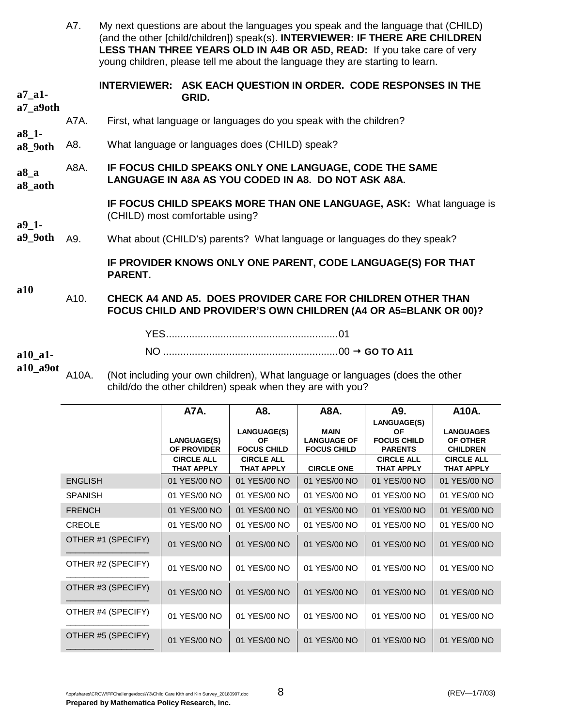A7. My next questions are about the languages you speak and the language that (CHILD) (and the other [child/children]) speak(s). **INTERVIEWER: IF THERE ARE CHILDREN LESS THAN THREE YEARS OLD IN A4B OR A5D, READ:** If you take care of very young children, please tell me about the language they are starting to learn.

## **INTERVIEWER: ASK EACH QUESTION IN ORDER. CODE RESPONSES IN THE GRID.**

**a7\_a1 a7\_a9oth**

## A7A. First, what language or languages do you speak with the children?

A8. What language or languages does (CHILD) speak? **a8\_1 a8\_9oth**

#### A8A. **IF FOCUS CHILD SPEAKS ONLY ONE LANGUAGE, CODE THE SAME LANGUAGE IN A8A AS YOU CODED IN A8. DO NOT ASK A8A. a8\_a**

**a8\_aoth**

**a9\_1-**

**IF FOCUS CHILD SPEAKS MORE THAN ONE LANGUAGE, ASK:** What language is (CHILD) most comfortable using?

What about (CHILD's) parents? What language or languages do they speak? **a9\_9oth**

> **IF PROVIDER KNOWS ONLY ONE PARENT, CODE LANGUAGE(S) FOR THAT PARENT.**

**a10**

## A10. **CHECK A4 AND A5. DOES PROVIDER CARE FOR CHILDREN OTHER THAN FOCUS CHILD AND PROVIDER'S OWN CHILDREN (A4 OR A5=BLANK OR 00)?**

## NO .............................................................00 **GO TO A11**

**a10\_a1-**

**a10\_a9ot**

A10A. (Not including your own children), What language or languages (does the other child/do the other children) speak when they are with you?

|                    | A7A.                                   | A8.                                                   | A8A.                                                    | A9.<br><b>LANGUAGE(S)</b>                         | A10A.                                           |
|--------------------|----------------------------------------|-------------------------------------------------------|---------------------------------------------------------|---------------------------------------------------|-------------------------------------------------|
|                    | <b>LANGUAGE(S)</b><br>OF PROVIDER      | <b>LANGUAGE(S)</b><br><b>OF</b><br><b>FOCUS CHILD</b> | <b>MAIN</b><br><b>LANGUAGE OF</b><br><b>FOCUS CHILD</b> | <b>OF</b><br><b>FOCUS CHILD</b><br><b>PARENTS</b> | <b>LANGUAGES</b><br>OF OTHER<br><b>CHILDREN</b> |
|                    | <b>CIRCLE ALL</b><br><b>THAT APPLY</b> | <b>CIRCLE ALL</b><br><b>THAT APPLY</b>                | <b>CIRCLE ONE</b>                                       | <b>CIRCLE ALL</b><br><b>THAT APPLY</b>            | <b>CIRCLE ALL</b><br><b>THAT APPLY</b>          |
| <b>ENGLISH</b>     | 01 YES/00 NO                           | 01 YES/00 NO                                          | 01 YES/00 NO                                            | 01 YES/00 NO                                      | 01 YES/00 NO                                    |
| <b>SPANISH</b>     | 01 YES/00 NO                           | 01 YES/00 NO                                          | 01 YES/00 NO                                            | 01 YES/00 NO                                      | 01 YES/00 NO                                    |
| <b>FRENCH</b>      | 01 YES/00 NO                           | 01 YES/00 NO                                          | 01 YES/00 NO                                            | 01 YES/00 NO                                      | 01 YES/00 NO                                    |
| <b>CREOLE</b>      | 01 YES/00 NO                           | 01 YES/00 NO                                          | 01 YES/00 NO                                            | 01 YES/00 NO                                      | 01 YES/00 NO                                    |
| OTHER #1 (SPECIFY) | 01 YES/00 NO                           | 01 YES/00 NO                                          | 01 YES/00 NO                                            | 01 YES/00 NO                                      | 01 YES/00 NO                                    |
| OTHER #2 (SPECIFY) | 01 YES/00 NO                           | 01 YES/00 NO                                          | 01 YES/00 NO                                            | 01 YES/00 NO                                      | 01 YES/00 NO                                    |
| OTHER #3 (SPECIFY) | 01 YES/00 NO                           | 01 YES/00 NO                                          | 01 YES/00 NO                                            | 01 YES/00 NO                                      | 01 YES/00 NO                                    |
| OTHER #4 (SPECIFY) | 01 YES/00 NO                           | 01 YES/00 NO                                          | 01 YES/00 NO                                            | 01 YES/00 NO                                      | 01 YES/00 NO                                    |
| OTHER #5 (SPECIFY) | 01 YES/00 NO                           | 01 YES/00 NO                                          | 01 YES/00 NO                                            | 01 YES/00 NO                                      | 01 YES/00 NO                                    |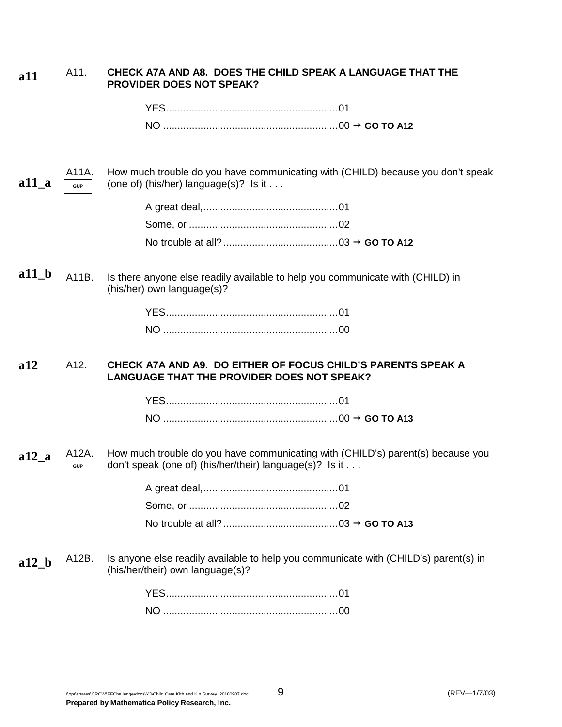| a11     | A11.         | CHECK A7A AND A8. DOES THE CHILD SPEAK A LANGUAGE THAT THE<br><b>PROVIDER DOES NOT SPEAK?</b>                                              |
|---------|--------------|--------------------------------------------------------------------------------------------------------------------------------------------|
|         |              |                                                                                                                                            |
|         |              |                                                                                                                                            |
| $a11_a$ | A11A.<br>GUP | How much trouble do you have communicating with (CHILD) because you don't speak<br>(one of) (his/her) language(s)? Is it $\dots$           |
|         |              |                                                                                                                                            |
|         |              |                                                                                                                                            |
|         |              |                                                                                                                                            |
| $a11$ b | A11B.        | Is there anyone else readily available to help you communicate with (CHILD) in<br>(his/her) own language(s)?                               |
|         |              |                                                                                                                                            |
|         |              |                                                                                                                                            |
| a12     | A12.         | CHECK A7A AND A9. DO EITHER OF FOCUS CHILD'S PARENTS SPEAK A<br><b>LANGUAGE THAT THE PROVIDER DOES NOT SPEAK?</b>                          |
|         |              |                                                                                                                                            |
|         |              |                                                                                                                                            |
| $a12$ a | A12A.<br>GUP | How much trouble do you have communicating with (CHILD's) parent(s) because you<br>don't speak (one of) (his/her/their) language(s)? Is it |
|         |              |                                                                                                                                            |
|         |              |                                                                                                                                            |
|         |              |                                                                                                                                            |
| $a12$ b | A12B.        | Is anyone else readily available to help you communicate with (CHILD's) parent(s) in<br>(his/her/their) own language(s)?                   |
|         |              |                                                                                                                                            |
|         |              |                                                                                                                                            |
|         |              |                                                                                                                                            |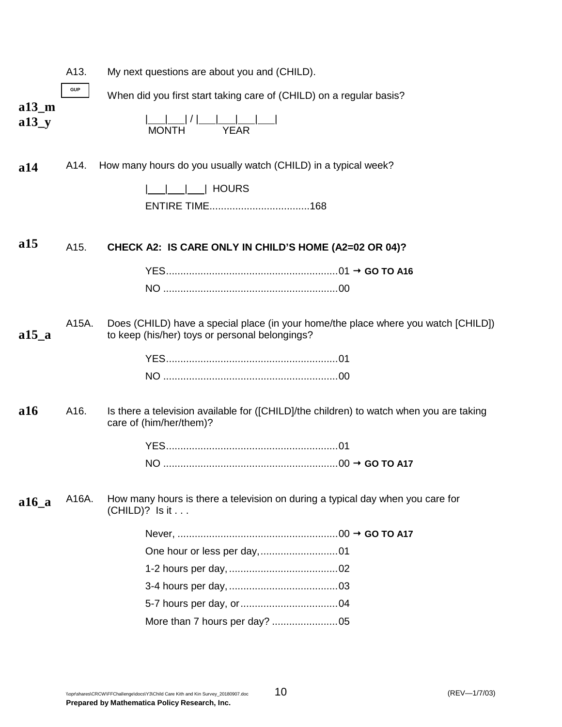|                               | A13.       | My next questions are about you and (CHILD).                                                                                         |
|-------------------------------|------------|--------------------------------------------------------------------------------------------------------------------------------------|
|                               | <b>GUP</b> | When did you first start taking care of (CHILD) on a regular basis?                                                                  |
| $a13$ <sub>m</sub><br>$a13_y$ |            | $\frac{   }{\text{MONTH}} /    \frac{  }{\text{YEAR}}  $                                                                             |
| a14                           | A14.       | How many hours do you usually watch (CHILD) in a typical week?                                                                       |
|                               |            | $\vert$ $\vert$ $\vert$ HOURS                                                                                                        |
| a15                           | A15.       | CHECK A2: IS CARE ONLY IN CHILD'S HOME (A2=02 OR 04)?                                                                                |
|                               |            |                                                                                                                                      |
|                               |            |                                                                                                                                      |
| a15a                          | A15A.      | Does (CHILD) have a special place (in your home/the place where you watch [CHILD])<br>to keep (his/her) toys or personal belongings? |
|                               |            |                                                                                                                                      |
|                               |            |                                                                                                                                      |
| a16                           | A16.       | Is there a television available for ([CHILD]/the children) to watch when you are taking<br>care of (him/her/them)?                   |
|                               |            |                                                                                                                                      |
|                               |            |                                                                                                                                      |
| a16a                          | A16A.      | How many hours is there a television on during a typical day when you care for<br>(CHILD)? Is it                                     |
|                               |            |                                                                                                                                      |
|                               |            |                                                                                                                                      |
|                               |            |                                                                                                                                      |
|                               |            |                                                                                                                                      |
|                               |            |                                                                                                                                      |
|                               |            |                                                                                                                                      |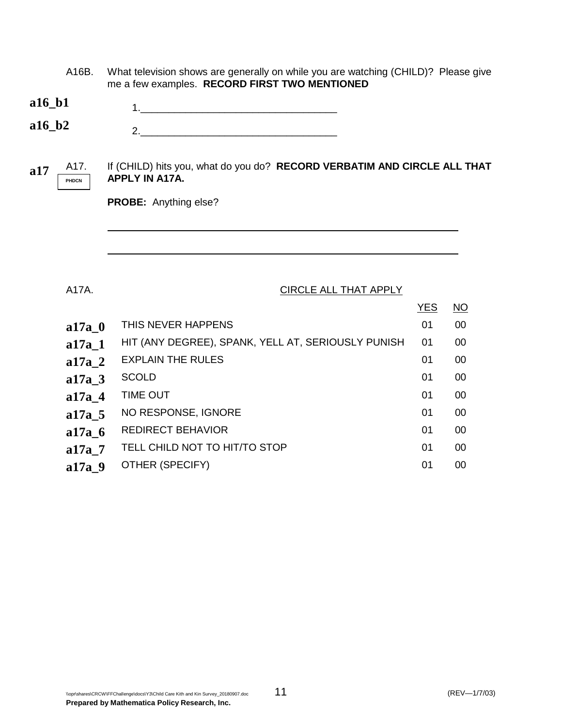A16B. What television shows are generally on while you are watching (CHILD)? Please give me a few examples. **RECORD FIRST TWO MENTIONED**

1.\_\_\_\_\_\_\_\_\_\_\_\_\_\_\_\_\_\_\_\_\_\_\_\_\_\_\_\_\_\_\_\_\_\_\_ **a16\_b1**

2.\_\_\_\_\_\_\_\_\_\_\_\_\_\_\_\_\_\_\_\_\_\_\_\_\_\_\_\_\_\_\_\_\_\_\_ **a16\_b2**

A17. If (CHILD) hits you, what do you do? **RECORD VERBATIM AND CIRCLE ALL THAT APPLY IN A17A. PHDCN a17**

**PROBE:** Anything else?

### A17A. CIRCLE ALL THAT APPLY

|          |                                                    | YES | NO. |
|----------|----------------------------------------------------|-----|-----|
| $a17a$ 0 | THIS NEVER HAPPENS                                 | 01  | 00  |
| a17a 1   | HIT (ANY DEGREE), SPANK, YELL AT, SERIOUSLY PUNISH | 01  | 00  |
| $a17a$ 2 | <b>EXPLAIN THE RULES</b>                           | 01  | 00  |
| $a17a$ 3 | <b>SCOLD</b>                                       | 01  | 00  |
| $a17a$ 4 | <b>TIME OUT</b>                                    | 01  | 00  |
| $a17a$ 5 | NO RESPONSE, IGNORE                                | 01  | 00  |
| $a17a$ 6 | <b>REDIRECT BEHAVIOR</b>                           | 01  | 00  |
| $a17a$ 7 | TELL CHILD NOT TO HIT/TO STOP                      | 01  | 00  |
| a17a 9   | <b>OTHER (SPECIFY)</b>                             | 01  | 00  |
|          |                                                    |     |     |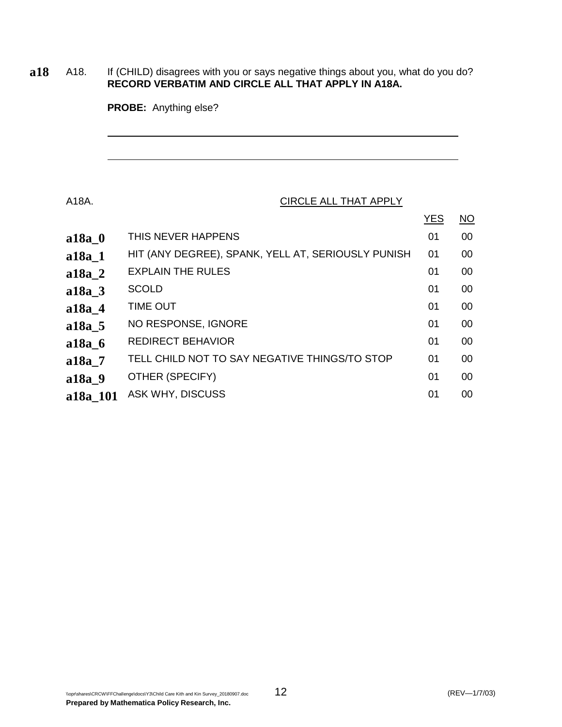#### A18. If (CHILD) disagrees with you or says negative things about you, what do you do? **RECORD VERBATIM AND CIRCLE ALL THAT APPLY IN A18A. a18**

**PROBE:** Anything else?

## A18A. CIRCLE ALL THAT APPLY

|                     |                                                    | <b>YES</b> | <b>NO</b>       |
|---------------------|----------------------------------------------------|------------|-----------------|
| $a18a$ 0            | THIS NEVER HAPPENS                                 | 01         | 00              |
| a18a 1              | HIT (ANY DEGREE), SPANK, YELL AT, SERIOUSLY PUNISH | 01         | 00              |
| $a18a$ <sub>2</sub> | <b>EXPLAIN THE RULES</b>                           | 01         | 00              |
| a18a 3              | <b>SCOLD</b>                                       | 01         | 00 <sup>1</sup> |
| a18a 4              | <b>TIME OUT</b>                                    | 01         | 00              |
| a18a 5              | NO RESPONSE, IGNORE                                | 01         | 00              |
| a18a 6              | <b>REDIRECT BEHAVIOR</b>                           | 01         | 00              |
| $a18a$ 7            | TELL CHILD NOT TO SAY NEGATIVE THINGS/TO STOP      | 01         | 00              |
| a18a 9              | <b>OTHER (SPECIFY)</b>                             | 01         | 00              |
| a18a 101            | <b>ASK WHY, DISCUSS</b>                            | 01         | 00              |
|                     |                                                    |            |                 |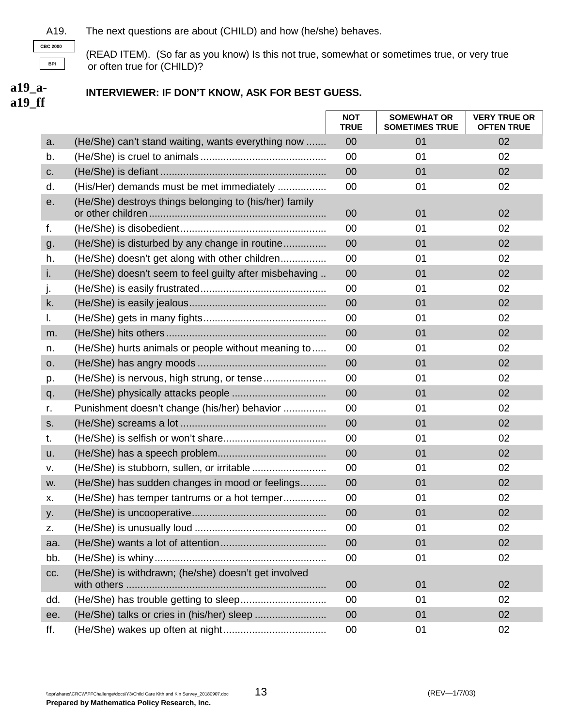**CBC 2000 BPI**

**a19\_a-**

**a19\_ff**

## A19. The next questions are about (CHILD) and how (he/she) behaves.

(READ ITEM). (So far as you know) Is this not true, somewhat or sometimes true, or very true or often true for (CHILD)?

## **INTERVIEWER: IF DON'T KNOW, ASK FOR BEST GUESS.**

|     |                                                        | <b>NOT</b><br><b>TRUE</b> | <b>SOMEWHAT OR</b><br><b>SOMETIMES TRUE</b> | <b>VERY TRUE OR</b><br><b>OFTEN TRUE</b> |
|-----|--------------------------------------------------------|---------------------------|---------------------------------------------|------------------------------------------|
| a.  | (He/She) can't stand waiting, wants everything now     | 00                        | 01                                          | 02                                       |
| b.  |                                                        | 00                        | 01                                          | 02                                       |
| C.  |                                                        | 00                        | 01                                          | 02                                       |
| d.  | (His/Her) demands must be met immediately              | 00                        | 01                                          | 02                                       |
| e.  | (He/She) destroys things belonging to (his/her) family | 00                        | 01                                          | 02                                       |
| f.  |                                                        | 00                        | 01                                          | 02                                       |
| g.  | (He/She) is disturbed by any change in routine         | 00                        | 01                                          | 02                                       |
| h.  | (He/She) doesn't get along with other children         | 00                        | 01                                          | 02                                       |
| i.  | (He/She) doesn't seem to feel guilty after misbehaving | 00                        | 01                                          | 02                                       |
| j.  |                                                        | 00                        | 01                                          | 02                                       |
| k.  |                                                        | 00                        | 01                                          | 02                                       |
| I.  |                                                        | 00                        | 01                                          | 02                                       |
| m.  |                                                        | 00                        | 01                                          | 02                                       |
| n.  | (He/She) hurts animals or people without meaning to    | 00                        | 01                                          | 02                                       |
| О.  |                                                        | 00                        | 01                                          | 02                                       |
| p.  |                                                        | 00                        | 01                                          | 02                                       |
| q.  |                                                        | 00                        | 01                                          | 02                                       |
| r.  | Punishment doesn't change (his/her) behavior           | 00                        | 01                                          | 02                                       |
| S.  |                                                        | 00                        | 01                                          | 02                                       |
| t.  |                                                        | 00                        | 01                                          | 02                                       |
| u.  |                                                        | 00                        | 01                                          | 02                                       |
| v.  |                                                        | 00                        | 01                                          | 02                                       |
| W.  | (He/She) has sudden changes in mood or feelings        | 00                        | 01                                          | 02                                       |
| X.  | (He/She) has temper tantrums or a hot temper           | 00                        | 01                                          | 02                                       |
| у.  |                                                        | 00                        | 01                                          | 02                                       |
| Z.  |                                                        | 00                        | 01                                          | 02                                       |
| aa. |                                                        | 00                        | 01                                          | 02                                       |
| bb. |                                                        | 00                        | 01                                          | 02                                       |
| CC. | (He/She) is withdrawn; (he/she) doesn't get involved   | 00                        | 01                                          | 02                                       |
| dd. |                                                        | 00                        | 01                                          | 02                                       |
| ee. | (He/She) talks or cries in (his/her) sleep             | 00                        | 01                                          | 02                                       |
| ff. |                                                        | 00                        | 01                                          | 02                                       |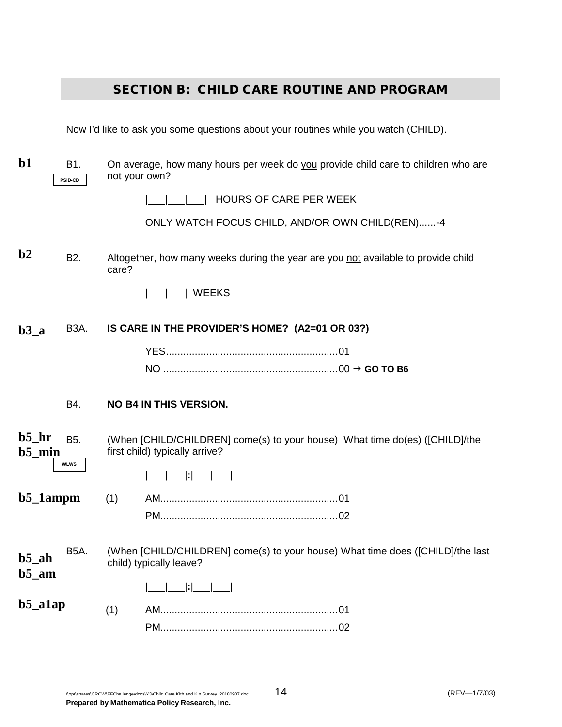## SECTION B: CHILD CARE ROUTINE AND PROGRAM

Now I'd like to ask you some questions about your routines while you watch (CHILD).

| $b1$                 | On average, how many hours per week do you provide child care to children who are<br>B1.<br>not your own?<br><b>PSID-CD</b> |                                                                                                               |  |
|----------------------|-----------------------------------------------------------------------------------------------------------------------------|---------------------------------------------------------------------------------------------------------------|--|
|                      |                                                                                                                             | HOURS OF CARE PER WEEK                                                                                        |  |
|                      |                                                                                                                             | ONLY WATCH FOCUS CHILD, AND/OR OWN CHILD(REN)-4                                                               |  |
| b2                   | B <sub>2</sub> .                                                                                                            | Altogether, how many weeks during the year are you not available to provide child<br>care?                    |  |
|                      |                                                                                                                             | WEEKS                                                                                                         |  |
| b3a                  | B <sub>3</sub> A.                                                                                                           | IS CARE IN THE PROVIDER'S HOME? (A2=01 OR 03?)                                                                |  |
|                      |                                                                                                                             |                                                                                                               |  |
|                      |                                                                                                                             |                                                                                                               |  |
|                      | B4.                                                                                                                         | <b>NO B4 IN THIS VERSION.</b>                                                                                 |  |
| $b5$ hr<br>$b5$ min  | <b>B5.</b><br><b>WLWS</b>                                                                                                   | (When [CHILD/CHILDREN] come(s) to your house) What time do(es) ([CHILD]/the<br>first child) typically arrive? |  |
|                      |                                                                                                                             | <u> -  :  -   -  </u>                                                                                         |  |
| $b5_1$ ampm          |                                                                                                                             | (1)                                                                                                           |  |
|                      |                                                                                                                             |                                                                                                               |  |
| $b5_{ab}$<br>$b5$ am | <b>B5A.</b>                                                                                                                 | (When [CHILD/CHILDREN] come(s) to your house) What time does ([CHILD]/the last<br>child) typically leave?     |  |
|                      |                                                                                                                             |                                                                                                               |  |
| $b5$ <sup>2</sup>    |                                                                                                                             | (1)                                                                                                           |  |
|                      |                                                                                                                             |                                                                                                               |  |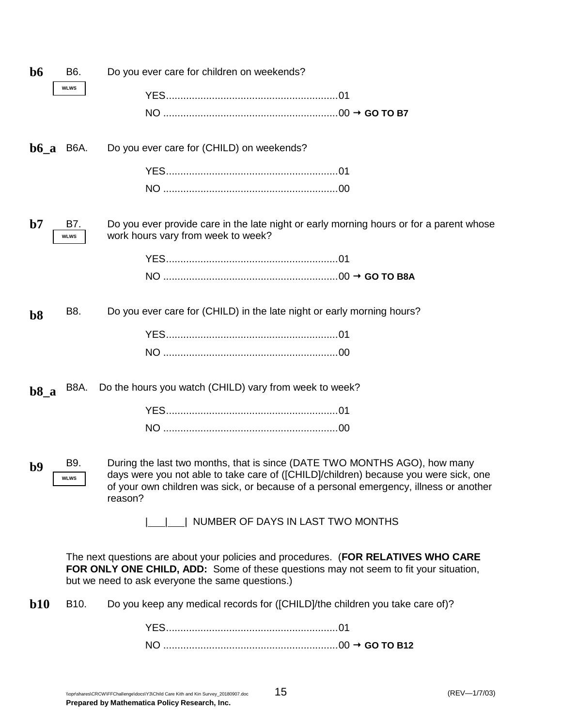| $\bf{b}6$ | B <sub>6</sub> .   | Do you ever care for children on weekends?                                                                                                                                    |
|-----------|--------------------|-------------------------------------------------------------------------------------------------------------------------------------------------------------------------------|
|           | <b>WLWS</b>        |                                                                                                                                                                               |
|           |                    |                                                                                                                                                                               |
|           |                    |                                                                                                                                                                               |
|           | $\bf{b6}$ a B6A.   | Do you ever care for (CHILD) on weekends?                                                                                                                                     |
|           |                    |                                                                                                                                                                               |
|           |                    |                                                                                                                                                                               |
|           |                    |                                                                                                                                                                               |
| $b7$      | B7.<br><b>WLWS</b> | Do you ever provide care in the late night or early morning hours or for a parent whose<br>work hours vary from week to week?                                                 |
|           |                    |                                                                                                                                                                               |
|           |                    |                                                                                                                                                                               |
|           |                    |                                                                                                                                                                               |
| $b8$      | <b>B8.</b>         | Do you ever care for (CHILD) in the late night or early morning hours?                                                                                                        |
|           |                    |                                                                                                                                                                               |
|           |                    |                                                                                                                                                                               |
|           |                    |                                                                                                                                                                               |
| $b8_a$    | B8A.               | Do the hours you watch (CHILD) vary from week to week?                                                                                                                        |
|           |                    |                                                                                                                                                                               |
|           |                    |                                                                                                                                                                               |
|           |                    |                                                                                                                                                                               |
| b9        | B9.                | During the last two months, that is since (DATE TWO MONTHS AGO), how many                                                                                                     |
|           | <b>WLWS</b>        | days were you not able to take care of ([CHILD]/children) because you were sick, one<br>of your own children was sick, or because of a personal emergency, illness or another |
|           |                    | reason?                                                                                                                                                                       |
|           |                    | NUMBER OF DAYS IN LAST TWO MONTHS                                                                                                                                             |
|           |                    |                                                                                                                                                                               |
|           |                    | The next questions are about your policies and procedures. (FOR RELATIVES WHO CARE                                                                                            |
|           |                    | FOR ONLY ONE CHILD, ADD: Some of these questions may not seem to fit your situation,<br>but we need to ask everyone the same questions.)                                      |
|           |                    |                                                                                                                                                                               |
| b10       | B10.               | Do you keep any medical records for ([CHILD]/the children you take care of)?                                                                                                  |
|           |                    |                                                                                                                                                                               |
|           |                    |                                                                                                                                                                               |
|           |                    |                                                                                                                                                                               |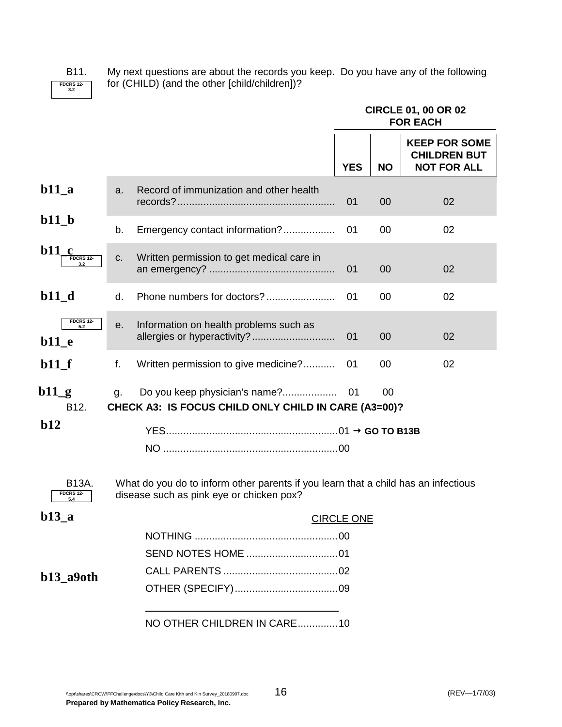B11. My next questions are about the records you keep. Do you have any of the following for (CHILD) (and the other [child/children])?

|                                  |    |                                                                                                                                | <b>CIRCLE 01, 00 OR 02</b><br><b>FOR EACH</b> |           |                                                                   |
|----------------------------------|----|--------------------------------------------------------------------------------------------------------------------------------|-----------------------------------------------|-----------|-------------------------------------------------------------------|
|                                  |    |                                                                                                                                | <b>YES</b>                                    | <b>NO</b> | <b>KEEP FOR SOME</b><br><b>CHILDREN BUT</b><br><b>NOT FOR ALL</b> |
| $b11$ a                          | a. | Record of immunization and other health                                                                                        | 01                                            | 00        | 02                                                                |
| $b11_b$                          | b. | Emergency contact information?                                                                                                 | 01                                            | 00        | 02                                                                |
| $b11_c$<br>FDCRS 12-<br>3.2      | C. | Written permission to get medical care in                                                                                      | 01                                            | 00        | 02                                                                |
| $b11$ d                          | d. | Phone numbers for doctors?                                                                                                     | 01                                            | 00        | 02                                                                |
| FDCRS 12-<br>5.2<br>$b11$ e      | е. | Information on health problems such as                                                                                         | 01                                            | 00        | 02                                                                |
| b11                              | f. | Written permission to give medicine?                                                                                           | 01                                            | 00        | 02                                                                |
| $b11_g$<br>B12.                  | g. | Do you keep physician's name?<br>CHECK A3: IS FOCUS CHILD ONLY CHILD IN CARE (A3=00)?                                          | 01                                            | 00        |                                                                   |
| b12                              |    |                                                                                                                                |                                               |           |                                                                   |
| B13A.<br><b>FDCRS 12-</b><br>5.4 |    | What do you do to inform other parents if you learn that a child has an infectious<br>disease such as pink eye or chicken pox? |                                               |           |                                                                   |
| $b13_a$                          |    |                                                                                                                                | <b>CIRCLE ONE</b>                             |           |                                                                   |
|                                  |    |                                                                                                                                |                                               |           |                                                                   |
|                                  |    |                                                                                                                                |                                               |           |                                                                   |
| $b13$ <sub>-a9oth</sub>          |    |                                                                                                                                |                                               |           |                                                                   |
|                                  |    | NO OTHER CHILDREN IN CARE10                                                                                                    |                                               |           |                                                                   |

**FDCRS 12- 3.2**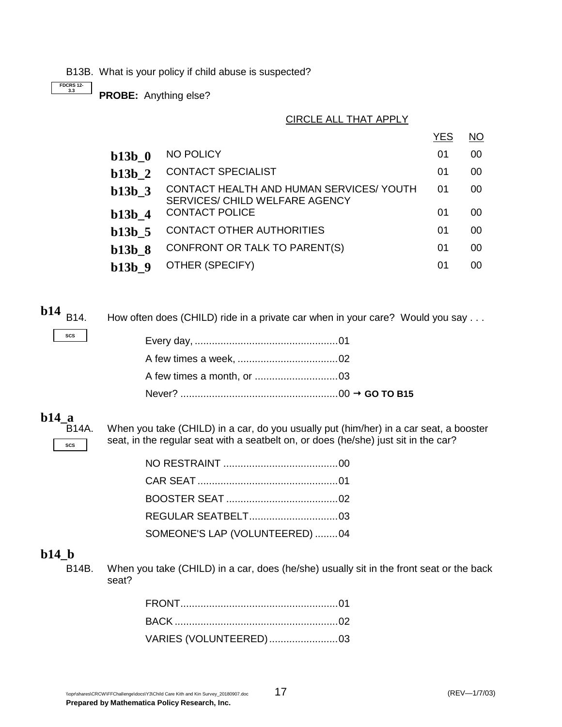### B13B. What is your policy if child abuse is suspected?

**FDCRS 12- 3.3**

**PROBE:** Anything else?

### CIRCLE ALL THAT APPLY

|                     |                                                                            | <b>YES</b> | NO.     |
|---------------------|----------------------------------------------------------------------------|------------|---------|
| $b13b$ <sup>0</sup> | <b>NO POLICY</b>                                                           | 01         | 00      |
| $b13b$ 2            | <b>CONTACT SPECIALIST</b>                                                  | 01         | $00 \,$ |
| $b13b$ 3            | CONTACT HEALTH AND HUMAN SERVICES/ YOUTH<br>SERVICES/ CHILD WELFARE AGENCY | 01         | $00 \,$ |
| $b13b$ 4            | <b>CONTACT POLICE</b>                                                      | 01         | $00 \,$ |
| $b13b$ 5            | <b>CONTACT OTHER AUTHORITIES</b>                                           | 01         | $00 \,$ |
| <b>b13b</b> 8       | CONFRONT OR TALK TO PARENT(S)                                              | 01         | $00 \,$ |
| $b13b$ 9            | <b>OTHER (SPECIFY)</b>                                                     | 01         | 00      |
|                     |                                                                            |            |         |

B14. How often does (CHILD) ride in a private car when in your care? Would you say . . .

## **b14\_a**



**SCS**

**b14**

B14A. When you take (CHILD) in a car, do you usually put (him/her) in a car seat, a booster seat, in the regular seat with a seatbelt on, or does (he/she) just sit in the car?

| SOMEONE'S LAP (VOLUNTEERED) 04 |  |
|--------------------------------|--|

## **b14\_b**

B14B. When you take (CHILD) in a car, does (he/she) usually sit in the front seat or the back seat?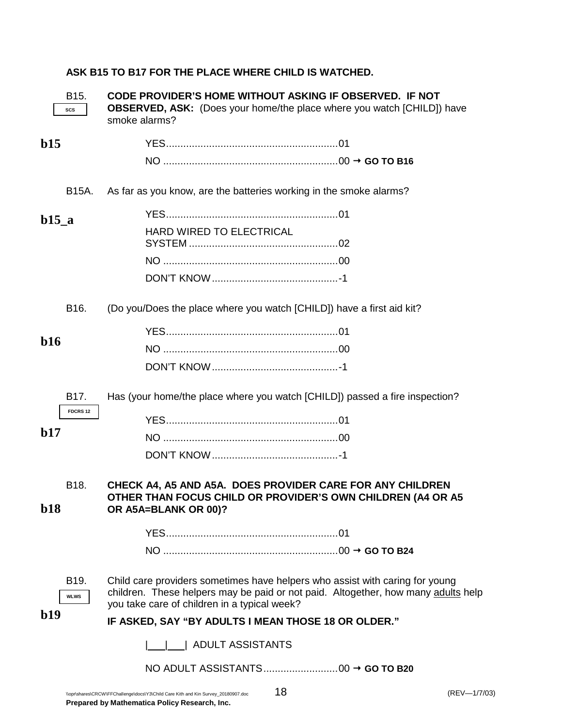## **ASK B15 TO B17 FOR THE PLACE WHERE CHILD IS WATCHED.**

B15. **CODE PROVIDER'S HOME WITHOUT ASKING IF OBSERVED. IF NOT OBSERVED, ASK:** (Does your home/the place where you watch [CHILD]) have

smoke alarms?

YES............................................................01 NO .............................................................00 **GO TO B16 b15**

B15A. As far as you know, are the batteries working in the smoke alarms?

| b15a |                                 |  |
|------|---------------------------------|--|
|      | <b>HARD WIRED TO ELECTRICAL</b> |  |
|      |                                 |  |
|      |                                 |  |

B16. (Do you/Does the place where you watch [CHILD]) have a first aid kit?

| h16 |  |
|-----|--|
|     |  |

B17. Has (your home/the place where you watch [CHILD]) passed a fire inspection?

|             | <b>FDCRS 12</b> |  |
|-------------|-----------------|--|
|             |                 |  |
| <b>b</b> 17 |                 |  |
|             |                 |  |

B18. **CHECK A4, A5 AND A5A. DOES PROVIDER CARE FOR ANY CHILDREN OTHER THAN FOCUS CHILD OR PROVIDER'S OWN CHILDREN (A4 OR A5 OR A5A=BLANK OR 00)? b18**

**WLWS**

B19. Child care providers sometimes have helpers who assist with caring for young children. These helpers may be paid or not paid. Altogether, how many adults help you take care of children in a typical week?

**b19**

**IF ASKED, SAY "BY ADULTS I MEAN THOSE 18 OR OLDER."**

| | | ADULT ASSISTANTS

NO ADULT ASSISTANTS..............................00 **→ GO TO B20**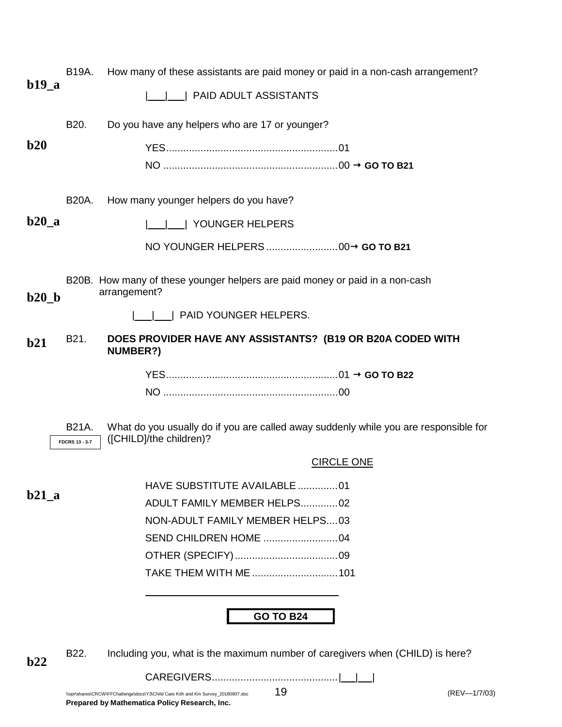| How many of these assistants are paid money or paid in a non-cash arrangement?<br><b>B19A.</b> |                                |                                                                                                                 |  |  |
|------------------------------------------------------------------------------------------------|--------------------------------|-----------------------------------------------------------------------------------------------------------------|--|--|
| b19a                                                                                           |                                | PAID ADULT ASSISTANTS                                                                                           |  |  |
|                                                                                                | B20.                           | Do you have any helpers who are 17 or younger?                                                                  |  |  |
| b20                                                                                            |                                |                                                                                                                 |  |  |
|                                                                                                |                                |                                                                                                                 |  |  |
|                                                                                                |                                |                                                                                                                 |  |  |
|                                                                                                | <b>B20A.</b>                   | How many younger helpers do you have?                                                                           |  |  |
| b20a                                                                                           |                                | YOUNGER HELPERS                                                                                                 |  |  |
|                                                                                                |                                | NO YOUNGER HELPERS 00→ GO TO B21                                                                                |  |  |
| $b20$ b                                                                                        |                                | B20B. How many of these younger helpers are paid money or paid in a non-cash<br>arrangement?                    |  |  |
|                                                                                                |                                | PAID YOUNGER HELPERS.                                                                                           |  |  |
| b21                                                                                            | B21.                           | DOES PROVIDER HAVE ANY ASSISTANTS? (B19 OR B20A CODED WITH<br>NUMBER?)                                          |  |  |
|                                                                                                |                                |                                                                                                                 |  |  |
|                                                                                                |                                |                                                                                                                 |  |  |
|                                                                                                | B21A.<br><b>FDCRS 13 - 3-7</b> | What do you usually do if you are called away suddenly while you are responsible for<br>([CHILD]/the children)? |  |  |
|                                                                                                |                                | <b>CIRCLE ONE</b>                                                                                               |  |  |
|                                                                                                |                                | HAVE SUBSTITUTE AVAILABLE 01                                                                                    |  |  |
| $b21_a$                                                                                        |                                | ADULT FAMILY MEMBER HELPS02                                                                                     |  |  |
|                                                                                                |                                | NON-ADULT FAMILY MEMBER HELPS03                                                                                 |  |  |
|                                                                                                |                                |                                                                                                                 |  |  |
|                                                                                                |                                |                                                                                                                 |  |  |
|                                                                                                |                                | TAKE THEM WITH ME 101                                                                                           |  |  |
|                                                                                                |                                |                                                                                                                 |  |  |
|                                                                                                |                                | <b>GO TO B24</b>                                                                                                |  |  |
|                                                                                                | B22.                           | Including you, what is the maximum number of caregivers when (CHILD) is here?                                   |  |  |
| b22                                                                                            |                                |                                                                                                                 |  |  |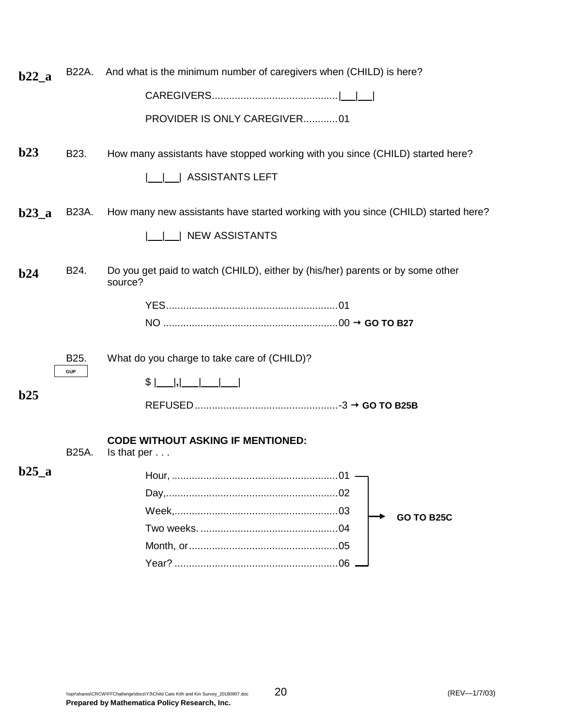| $b22_a$ |                    | B22A. And what is the minimum number of caregivers when (CHILD) is here?                                   |  |  |  |
|---------|--------------------|------------------------------------------------------------------------------------------------------------|--|--|--|
|         |                    |                                                                                                            |  |  |  |
|         |                    | PROVIDER IS ONLY CAREGIVER01                                                                               |  |  |  |
| b23     | B23.               | How many assistants have stopped working with you since (CHILD) started here?<br><b>ASSISTANTS LEFT</b>    |  |  |  |
| $b23$ a | B23A.              | How many new assistants have started working with you since (CHILD) started here?<br><b>NEW ASSISTANTS</b> |  |  |  |
| b24     | B24.               | Do you get paid to watch (CHILD), either by (his/her) parents or by some other<br>source?                  |  |  |  |
| b25     | B25.<br><b>GUP</b> | What do you charge to take care of (CHILD)?<br>$$ $ $ $ , $ $ $ $ $ $                                      |  |  |  |
| $b25_a$ | B25A.              | <b>CODE WITHOUT ASKING IF MENTIONED:</b><br>Is that per<br><b>GO TO B25C</b>                               |  |  |  |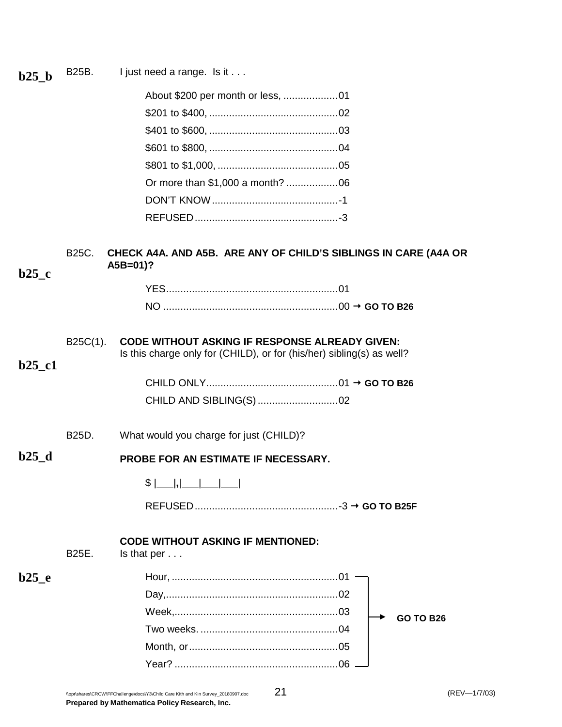| B25B.<br>b25 b | I just need a range. Is it |  |
|----------------|----------------------------|--|
|----------------|----------------------------|--|

| About \$200 per month or less, 01 |  |
|-----------------------------------|--|
|                                   |  |
|                                   |  |
|                                   |  |
|                                   |  |
|                                   |  |
|                                   |  |
|                                   |  |

## B25C. **CHECK A4A. AND A5B. ARE ANY OF CHILD'S SIBLINGS IN CARE (A4A OR A5B=01)?**

**b25\_c**

## B25C(1). **CODE WITHOUT ASKING IF RESPONSE ALREADY GIVEN:**

Is this charge only for (CHILD), or for (his/her) sibling(s) as well?

## **b25\_c1**

B25D. What would you charge for just (CHILD)?

#### **PROBE FOR AN ESTIMATE IF NECESSARY. b25\_d**

## $$ | \_ |, | \_ | \_ |$

REFUSED..................................................-3 **GO TO B25F**

## **CODE WITHOUT ASKING IF MENTIONED:**

B25E. Is that per . . .

|       |  | GO TO B26 |
|-------|--|-----------|
|       |  |           |
|       |  |           |
| Year? |  |           |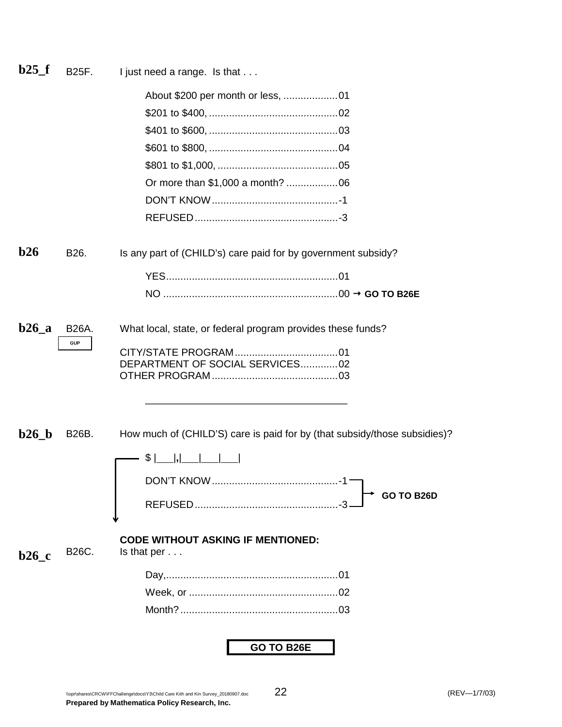| $b25$ f | <b>B25F.</b> | I just need a range. Is that                                              |
|---------|--------------|---------------------------------------------------------------------------|
|         |              |                                                                           |
|         |              |                                                                           |
|         |              |                                                                           |
|         |              |                                                                           |
|         |              |                                                                           |
|         |              |                                                                           |
|         |              |                                                                           |
|         |              |                                                                           |
| b26     | B26.         | Is any part of (CHILD's) care paid for by government subsidy?             |
|         |              |                                                                           |
|         |              |                                                                           |
| b26a    | B26A.<br>GUP | What local, state, or federal program provides these funds?               |
|         |              | DEPARTMENT OF SOCIAL SERVICES02                                           |
|         |              |                                                                           |
| $b26$ b | B26B.        | How much of (CHILD'S) care is paid for by (that subsidy/those subsidies)? |
|         |              | \$∣                                                                       |
|         |              |                                                                           |
|         |              | <b>GO TO B26D</b>                                                         |
| $b26$ c | B26C.        | <b>CODE WITHOUT ASKING IF MENTIONED:</b><br>Is that per $\ldots$          |
|         |              |                                                                           |
|         |              |                                                                           |
|         |              |                                                                           |
|         |              | GO TO B26E                                                                |
|         |              |                                                                           |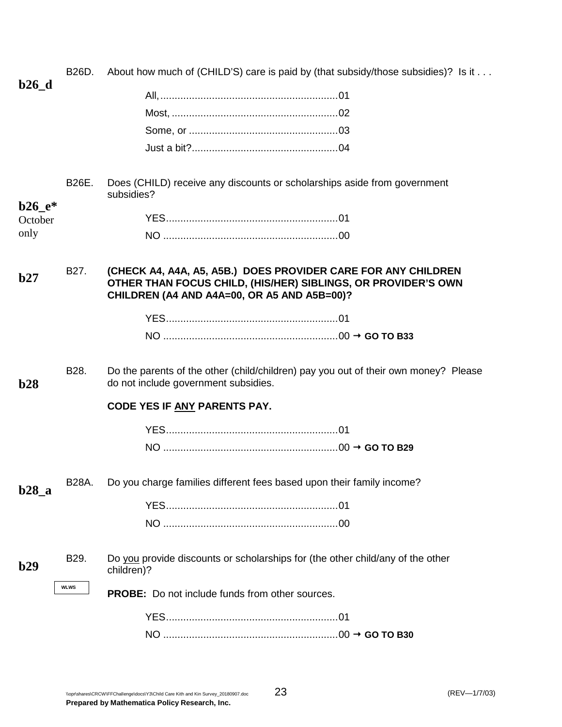B26D. About how much of (CHILD'S) care is paid by (that subsidy/those subsidies)? Is it ...

|                        | B26E. | Does (CHILD) receive any discounts or scholarships aside from government<br>subsidies? |
|------------------------|-------|----------------------------------------------------------------------------------------|
| $b26$ $e^*$<br>October |       | <b>VES</b>                                                                             |

NO .............................................................00 only

B27. **(CHECK A4, A4A, A5, A5B.) DOES PROVIDER CARE FOR ANY CHILDREN OTHER THAN FOCUS CHILD, (HIS/HER) SIBLINGS, OR PROVIDER'S OWN CHILDREN (A4 AND A4A=00, OR A5 AND A5B=00)? b27**

B28. Do the parents of the other (child/children) pay you out of their own money? Please do not include government subsidies. **b28**

### **CODE YES IF ANY PARENTS PAY.**

B28A. Do you charge families different fees based upon their family income? **b28\_a**

**b29**

**b26\_d**

**WLWS**

| B29. | Do you provide discounts or scholarships for (the other child/any of the other |
|------|--------------------------------------------------------------------------------|
|      | children)?                                                                     |

**PROBE:** Do not include funds from other sources.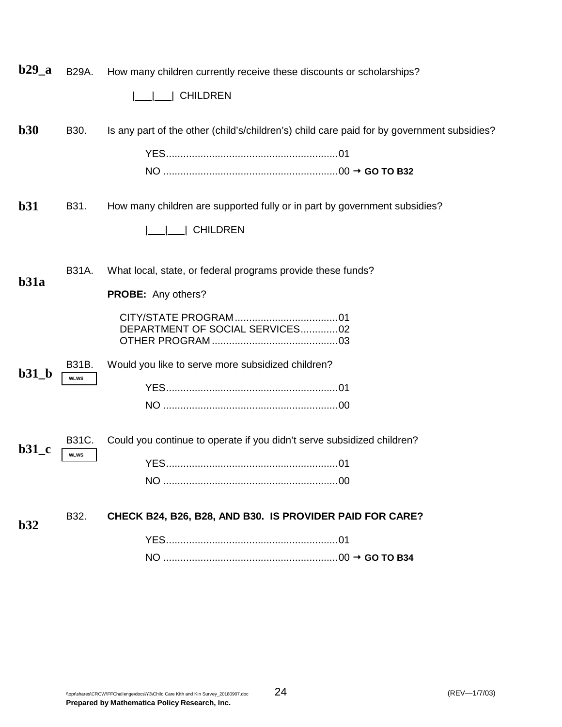| b29a    | B29A.                | How many children currently receive these discounts or scholarships?                       |  |  |  |
|---------|----------------------|--------------------------------------------------------------------------------------------|--|--|--|
|         |                      | <b>CHILDREN</b>                                                                            |  |  |  |
| b30     | B30.                 | Is any part of the other (child's/children's) child care paid for by government subsidies? |  |  |  |
|         |                      |                                                                                            |  |  |  |
| b31     | B31.                 | How many children are supported fully or in part by government subsidies?                  |  |  |  |
|         |                      | <b>CHILDREN</b>                                                                            |  |  |  |
| b31a    | B31A.                | What local, state, or federal programs provide these funds?                                |  |  |  |
|         |                      | PROBE: Any others?                                                                         |  |  |  |
|         |                      | DEPARTMENT OF SOCIAL SERVICES02                                                            |  |  |  |
| $b31$ b | B31B.<br><b>WLWS</b> | Would you like to serve more subsidized children?                                          |  |  |  |
|         |                      |                                                                                            |  |  |  |
|         |                      |                                                                                            |  |  |  |
| $b31_c$ | B31C.                | Could you continue to operate if you didn't serve subsidized children?                     |  |  |  |
|         | <b>WLWS</b>          |                                                                                            |  |  |  |
|         |                      |                                                                                            |  |  |  |
| b32     | B32.                 | CHECK B24, B26, B28, AND B30. IS PROVIDER PAID FOR CARE?                                   |  |  |  |
|         |                      |                                                                                            |  |  |  |
|         |                      |                                                                                            |  |  |  |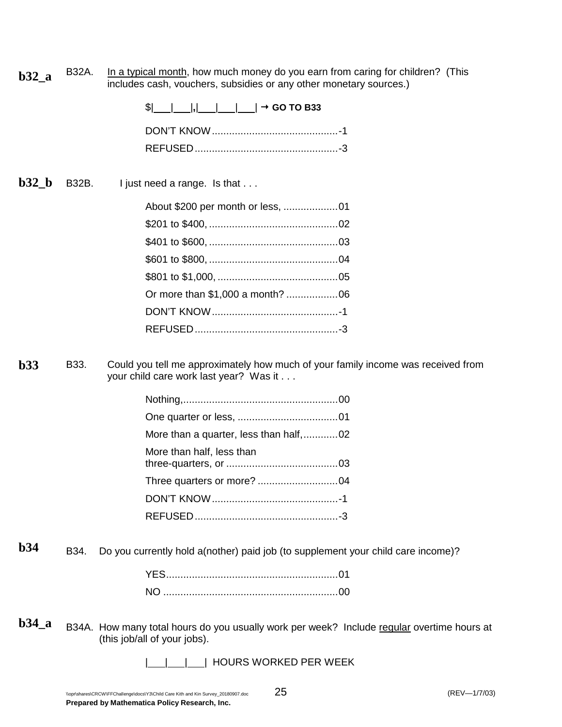B32A. In a typical month, how much money do you earn from caring for children? (This includes cash, vouchers, subsidies or any other monetary sources.) **b32\_a**

B32B. I just need a range. Is that ... **b32\_b**

B33. Could you tell me approximately how much of your family income was received from your child care work last year? Was it . . . **b33**

| More than a quarter, less than half,02 |  |
|----------------------------------------|--|
| More than half, less than              |  |
|                                        |  |
|                                        |  |
|                                        |  |

B34. Do you currently hold a(nother) paid job (to supplement your child care income)? **b34**

- B34A. How many total hours do you usually work per week? Include regular overtime hours at (this job/all of your jobs). **b34\_a**
	- | | | | | | | HOURS WORKED PER WEEK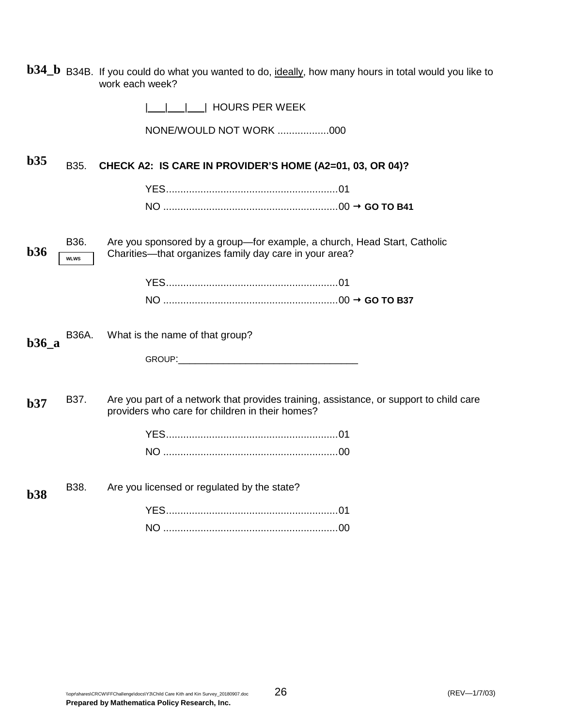|            |                     | $b34_b$ B34B. If you could do what you wanted to do, $\frac{1}{10}$ deally, how many hours in total would you like to<br>work each week?                                                                                      |
|------------|---------------------|-------------------------------------------------------------------------------------------------------------------------------------------------------------------------------------------------------------------------------|
|            |                     | HOURS PER WEEK                                                                                                                                                                                                                |
|            |                     | NONE/WOULD NOT WORK 000                                                                                                                                                                                                       |
| b35        | B35.                | CHECK A2: IS CARE IN PROVIDER'S HOME (A2=01, 03, OR 04)?                                                                                                                                                                      |
|            |                     |                                                                                                                                                                                                                               |
|            |                     |                                                                                                                                                                                                                               |
| b36        | B36.<br><b>WLWS</b> | Are you sponsored by a group-for example, a church, Head Start, Catholic<br>Charities-that organizes family day care in your area?                                                                                            |
|            |                     |                                                                                                                                                                                                                               |
|            |                     |                                                                                                                                                                                                                               |
| b36a       | B36A.               | What is the name of that group?                                                                                                                                                                                               |
|            |                     | GROUP: A CONSTRUCTION OF THE CONSTRUCTION OF THE CONSTRUCTION OF THE CONSTRUCTION OF THE CONSTRUCTION OF THE CONSTRUCTION OF THE CONSTRUCTION OF THE CONSTRUCTION OF THE CONSTRUCTION OF THE CONSTRUCTION OF THE CONSTRUCTION |
| b37        | B37.                | Are you part of a network that provides training, assistance, or support to child care<br>providers who care for children in their homes?                                                                                     |
|            |                     |                                                                                                                                                                                                                               |
|            |                     |                                                                                                                                                                                                                               |
| <b>b38</b> | B38.                | Are you licensed or regulated by the state?                                                                                                                                                                                   |
|            |                     |                                                                                                                                                                                                                               |
|            |                     |                                                                                                                                                                                                                               |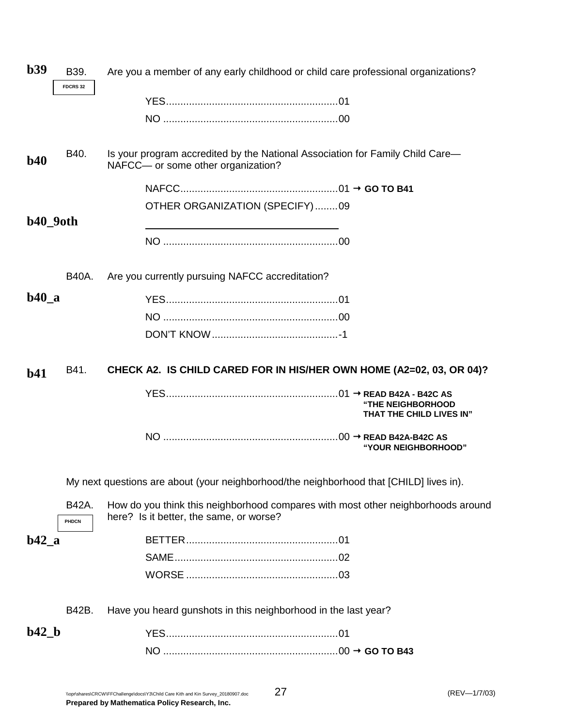| b39                    | B39.<br>FDCRS 32 | Are you a member of any early childhood or child care professional organizations?                                           |  |
|------------------------|------------------|-----------------------------------------------------------------------------------------------------------------------------|--|
|                        |                  |                                                                                                                             |  |
|                        |                  |                                                                                                                             |  |
| $b40$                  | B40.             | Is your program accredited by the National Association for Family Child Care-<br>NAFCC- or some other organization?         |  |
|                        |                  |                                                                                                                             |  |
|                        |                  | OTHER ORGANIZATION (SPECIFY)09                                                                                              |  |
| <b>b40_9oth</b>        |                  |                                                                                                                             |  |
|                        | <b>B40A.</b>     | Are you currently pursuing NAFCC accreditation?                                                                             |  |
| $b40$ a                |                  |                                                                                                                             |  |
|                        |                  |                                                                                                                             |  |
|                        |                  |                                                                                                                             |  |
|                        |                  |                                                                                                                             |  |
| b41                    | B41.             | CHECK A2. IS CHILD CARED FOR IN HIS/HER OWN HOME (A2=02, 03, OR 04)?                                                        |  |
|                        |                  | <b>"THE NEIGHBORHOOD</b><br>THAT THE CHILD LIVES IN"                                                                        |  |
|                        |                  | "YOUR NEIGHBORHOOD"                                                                                                         |  |
|                        |                  | My next questions are about (your neighborhood/the neighborhood that [CHILD] lives in).                                     |  |
|                        | B42A.<br>PHDCN   | How do you think this neighborhood compares with most other neighborhoods around<br>here? Is it better, the same, or worse? |  |
| $b42$ a                |                  |                                                                                                                             |  |
|                        |                  |                                                                                                                             |  |
|                        |                  |                                                                                                                             |  |
|                        | B42B.            | Have you heard gunshots in this neighborhood in the last year?                                                              |  |
| $b42$ <sub>-</sub> $b$ |                  |                                                                                                                             |  |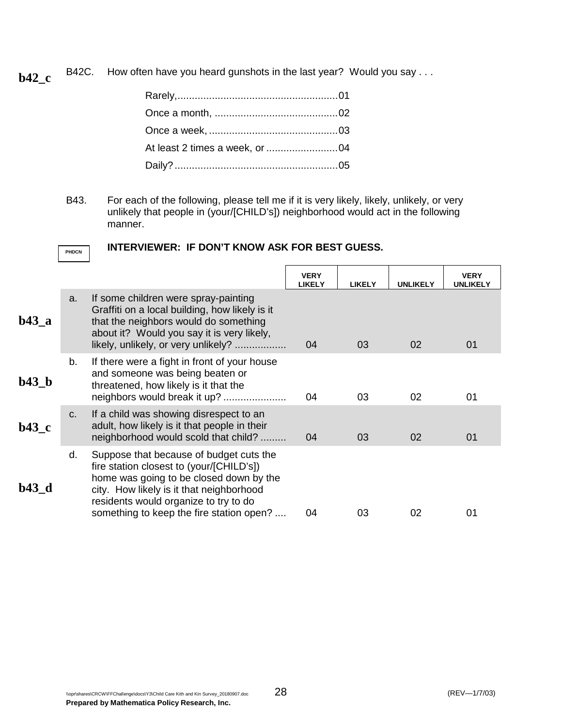B42C. How often have you heard gunshots in the last year? Would you say . . . **b42\_c**

B43. For each of the following, please tell me if it is very likely, likely, unlikely, or very unlikely that people in (your/[CHILD's]) neighborhood would act in the following manner.

**PHDCN**

**INTERVIEWER: IF DON'T KNOW ASK FOR BEST GUESS.**

|                      |                |                                                                                                                                                                                                                                                                 | <b>VERY</b><br><b>LIKELY</b> | <b>LIKELY</b> | <b>UNLIKELY</b> | <b>VERY</b><br><b>UNLIKELY</b> |
|----------------------|----------------|-----------------------------------------------------------------------------------------------------------------------------------------------------------------------------------------------------------------------------------------------------------------|------------------------------|---------------|-----------------|--------------------------------|
| $b43$ _a             | a.             | If some children were spray-painting<br>Graffiti on a local building, how likely is it<br>that the neighbors would do something<br>about it? Would you say it is very likely,<br>likely, unlikely, or very unlikely?                                            | 04                           | 03            | 02              | 01                             |
| <b>b43_b</b>         | b.             | If there were a fight in front of your house<br>and someone was being beaten or<br>threatened, how likely is it that the<br>neighbors would break it up?                                                                                                        | 04                           | 03            | 02              | 01                             |
| $b43$ <sub>-</sub> c | C <sub>1</sub> | If a child was showing disrespect to an<br>adult, how likely is it that people in their<br>neighborhood would scold that child?                                                                                                                                 | 04                           | 03            | 02              | 01                             |
| $b43_d$              | d.             | Suppose that because of budget cuts the<br>fire station closest to (your/[CHILD's])<br>home was going to be closed down by the<br>city. How likely is it that neighborhood<br>residents would organize to try to do<br>something to keep the fire station open? | 04                           | 03            | 02              | 01                             |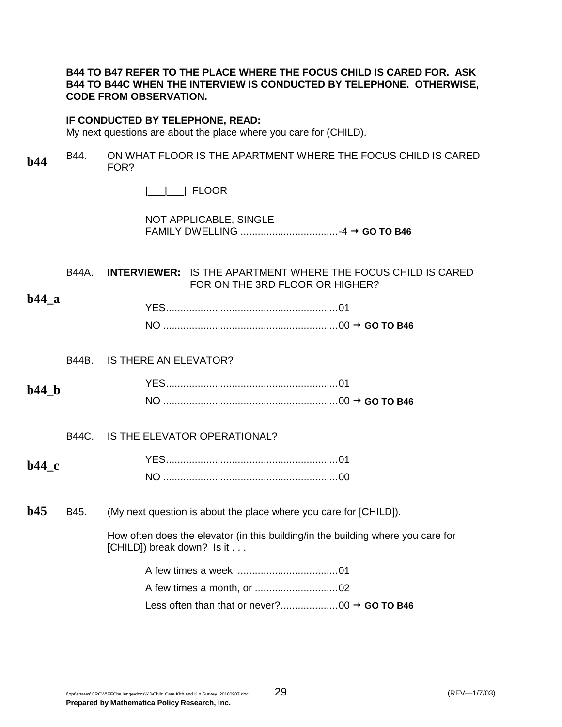**B44 TO B47 REFER TO THE PLACE WHERE THE FOCUS CHILD IS CARED FOR. ASK B44 TO B44C WHEN THE INTERVIEW IS CONDUCTED BY TELEPHONE. OTHERWISE, CODE FROM OBSERVATION.**

#### **IF CONDUCTED BY TELEPHONE, READ:**

My next questions are about the place where you care for (CHILD).

B44. ON WHAT FLOOR IS THE APARTMENT WHERE THE FOCUS CHILD IS CARED FOR? **b44**

|\_\_\_|\_\_\_| FLOOR

NOT APPLICABLE, SINGLE FAMILY DWELLING ..................................-4 **GO TO B46**

B44A. **INTERVIEWER:** IS THE APARTMENT WHERE THE FOCUS CHILD IS CARED FOR ON THE 3RD FLOOR OR HIGHER?

**b44\_a**

### B44B. IS THERE AN ELEVATOR?

| b44 |  |
|-----|--|
|     |  |

### B44C. IS THE ELEVATOR OPERATIONAL?

B45. (My next question is about the place where you care for [CHILD]). **b45**

> How often does the elevator (in this building/in the building where you care for [CHILD]) break down? Is it . . .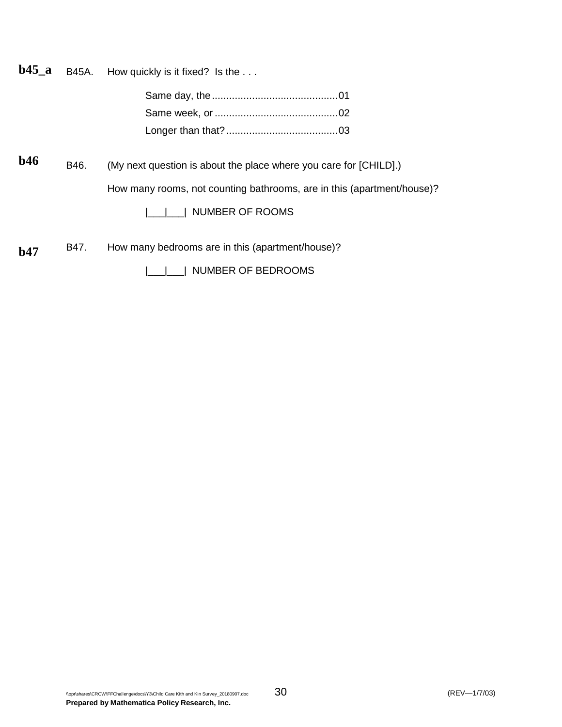B45A. How quickly is it fixed? Is the ... **b45\_a**

B46. (My next question is about the place where you care for [CHILD].) **b46**

How many rooms, not counting bathrooms, are in this (apartment/house)?

|\_\_\_|\_\_\_| NUMBER OF ROOMS

B47. How many bedrooms are in this (apartment/house)? **b47**

|\_\_\_|\_\_\_| NUMBER OF BEDROOMS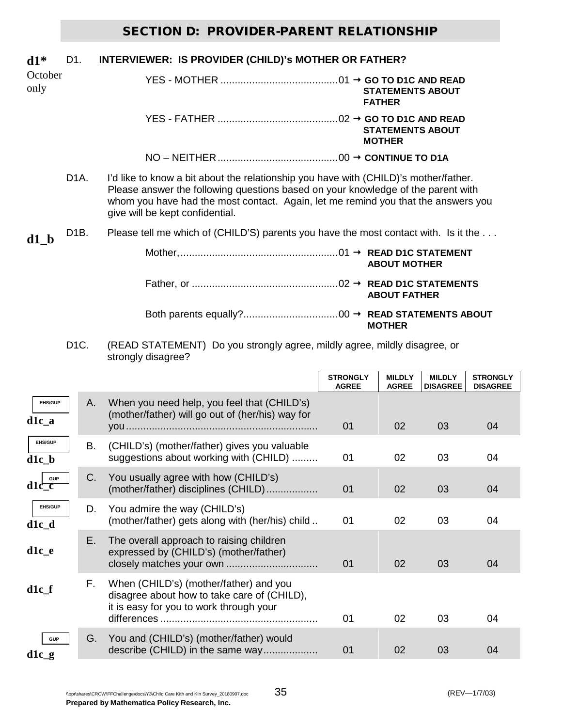## SECTION D: PROVIDER-PARENT RELATIONSHIP

| $d1*$                        | D1.               |    | INTERVIEWER: IS PROVIDER (CHILD)'s MOTHER OR FATHER?                                                                                                                                                                                                                                             |                                 |                                          |                                  |                                    |
|------------------------------|-------------------|----|--------------------------------------------------------------------------------------------------------------------------------------------------------------------------------------------------------------------------------------------------------------------------------------------------|---------------------------------|------------------------------------------|----------------------------------|------------------------------------|
| October<br>only              |                   |    |                                                                                                                                                                                                                                                                                                  |                                 | <b>STATEMENTS ABOUT</b><br><b>FATHER</b> |                                  |                                    |
|                              |                   |    |                                                                                                                                                                                                                                                                                                  |                                 | <b>STATEMENTS ABOUT</b><br><b>MOTHER</b> |                                  |                                    |
|                              |                   |    |                                                                                                                                                                                                                                                                                                  |                                 |                                          |                                  |                                    |
|                              | D <sub>1</sub> A. |    | I'd like to know a bit about the relationship you have with (CHILD)'s mother/father.<br>Please answer the following questions based on your knowledge of the parent with<br>whom you have had the most contact. Again, let me remind you that the answers you<br>give will be kept confidential. |                                 |                                          |                                  |                                    |
| $d1$ b                       | D <sub>1</sub> B. |    | Please tell me which of (CHILD'S) parents you have the most contact with. Is it the                                                                                                                                                                                                              |                                 |                                          |                                  |                                    |
|                              |                   |    |                                                                                                                                                                                                                                                                                                  |                                 | <b>ABOUT MOTHER</b>                      |                                  |                                    |
|                              |                   |    |                                                                                                                                                                                                                                                                                                  |                                 | <b>ABOUT FATHER</b>                      |                                  |                                    |
|                              |                   |    |                                                                                                                                                                                                                                                                                                  |                                 | <b>MOTHER</b>                            |                                  |                                    |
|                              | D <sub>1</sub> C. |    | (READ STATEMENT) Do you strongly agree, mildly agree, mildly disagree, or<br>strongly disagree?                                                                                                                                                                                                  |                                 |                                          |                                  |                                    |
|                              |                   |    |                                                                                                                                                                                                                                                                                                  |                                 |                                          |                                  |                                    |
|                              |                   |    |                                                                                                                                                                                                                                                                                                  | <b>STRONGLY</b><br><b>AGREE</b> | <b>MILDLY</b><br><b>AGREE</b>            | <b>MILDLY</b><br><b>DISAGREE</b> | <b>STRONGLY</b><br><b>DISAGREE</b> |
| EHS/GUP<br>d1c a             |                   | А. | When you need help, you feel that (CHILD's)<br>(mother/father) will go out of (her/his) way for                                                                                                                                                                                                  | 01                              | 02                                       | 03                               | 04                                 |
| EHS/GUP<br>$dlc_b$           |                   | В. | (CHILD's) (mother/father) gives you valuable<br>suggestions about working with (CHILD)                                                                                                                                                                                                           | 01                              | 02                                       | 03                               | 04                                 |
| GUP<br>$dl$ c $\overline{c}$ |                   | C. | You usually agree with how (CHILD's)<br>(mother/father) disciplines (CHILD)                                                                                                                                                                                                                      | 01                              | 02                                       | 03                               | 04                                 |
| EHS/GUP<br>$d1c_d$           |                   | D. | You admire the way (CHILD's)<br>(mother/father) gets along with (her/his) child                                                                                                                                                                                                                  | 01                              | 02                                       | 03                               | 04                                 |
| $d1c_e$                      |                   | Е. | The overall approach to raising children<br>expressed by (CHILD's) (mother/father)                                                                                                                                                                                                               | 01                              | 02                                       | 03                               | 04                                 |
| $d1c_f$                      |                   | F. | When (CHILD's) (mother/father) and you<br>disagree about how to take care of (CHILD),<br>it is easy for you to work through your                                                                                                                                                                 | 01                              | 02                                       | 03                               | 04                                 |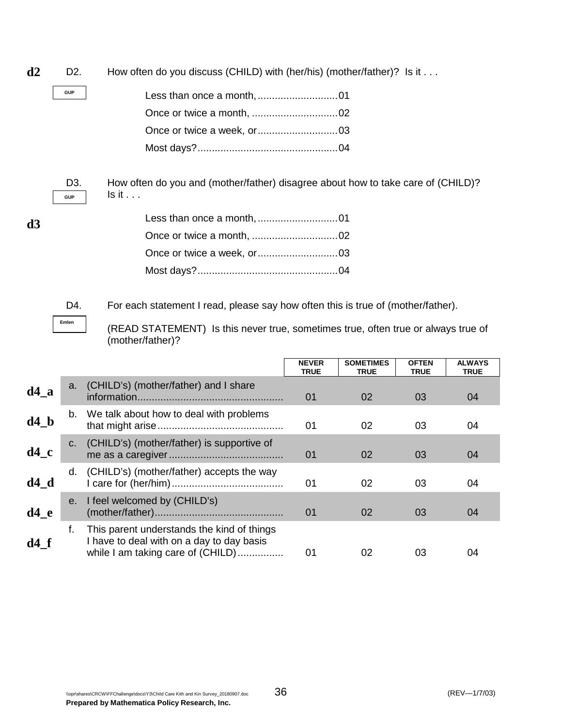| d2 | D2. | How often do you discuss (CHILD) with (her/his) (mother/father)? Is it |
|----|-----|------------------------------------------------------------------------|
|    | GUP |                                                                        |
|    |     |                                                                        |
|    |     |                                                                        |
|    |     |                                                                        |
|    |     |                                                                        |

D3. How often do you and (mother/father) disagree about how to take care of (CHILD)? Is it . . .

D4. For each statement I read, please say how often this is true of (mother/father).

**Emlen**

**GUP**

(READ STATEMENT) Is this never true, sometimes true, often true or always true of (mother/father)?

|        |         |                                                                                                                              | <b>NEVER</b><br><b>TRUE</b> | <b>SOMETIMES</b><br><b>TRUE</b> | <b>OFTEN</b><br><b>TRUE</b> | <b>ALWAYS</b><br><b>TRUE</b> |
|--------|---------|------------------------------------------------------------------------------------------------------------------------------|-----------------------------|---------------------------------|-----------------------------|------------------------------|
| $d4$ a | a.      | (CHILD's) (mother/father) and I share                                                                                        | 01                          | 02                              | 03                          | 04                           |
| d4 b   |         | b. We talk about how to deal with problems                                                                                   | 01                          | 02                              | 03                          | 04                           |
| d4 c   | $C_{1}$ | (CHILD's) (mother/father) is supportive of                                                                                   | 01                          | 02                              | 03                          | 04                           |
| d4 d   | d.      | (CHILD's) (mother/father) accepts the way                                                                                    | 01                          | 02                              | 03                          | 04                           |
| $d4$ e | $e_{i}$ | I feel welcomed by (CHILD's)                                                                                                 | 01                          | 02                              | 03                          | 04                           |
| d4 f   | f.      | This parent understands the kind of things<br>I have to deal with on a day to day basis<br>while I am taking care of (CHILD) | 01                          | 02                              | 03                          | 04                           |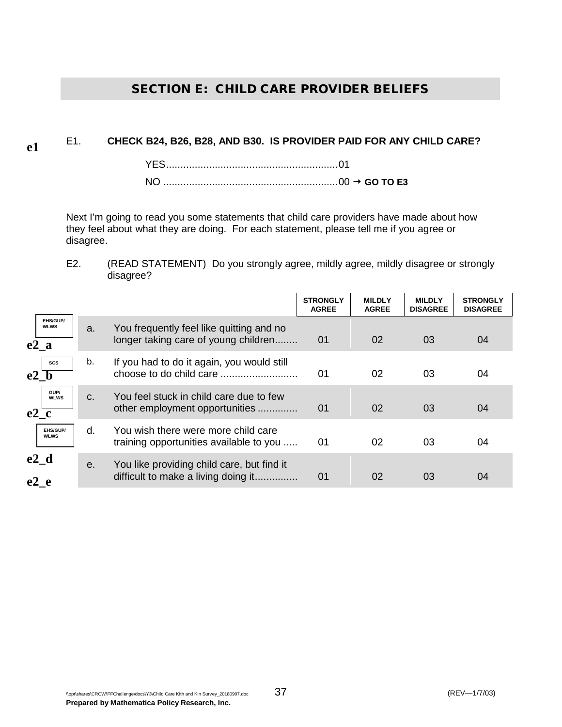## SECTION E: CHILD CARE PROVIDER BELIEFS

## E1. **CHECK B24, B26, B28, AND B30. IS PROVIDER PAID FOR ANY CHILD CARE?**

**e1**

Next I'm going to read you some statements that child care providers have made about how they feel about what they are doing. For each statement, please tell me if you agree or disagree.

E2. (READ STATEMENT) Do you strongly agree, mildly agree, mildly disagree or strongly disagree?

|                                         |                |                                                                                   | <b>STRONGLY</b><br><b>AGREE</b> | <b>MILDLY</b><br><b>AGREE</b> | <b>MILDLY</b><br><b>DISAGREE</b> | <b>STRONGLY</b><br><b>DISAGREE</b> |
|-----------------------------------------|----------------|-----------------------------------------------------------------------------------|---------------------------------|-------------------------------|----------------------------------|------------------------------------|
| EHS/GUP/<br><b>WLWS</b><br>$e2$ a       | a.             | You frequently feel like quitting and no<br>longer taking care of young children  | 01                              | 02                            | 03                               | 04                                 |
| <b>SCS</b><br>$e2\bar{b}$               | b.             | If you had to do it again, you would still                                        | 01                              | 02                            | 03                               | 04                                 |
| GUP/<br><b>WLWS</b><br>$e2\overline{c}$ | C <sub>1</sub> | You feel stuck in child care due to few<br>other employment opportunities         | 01                              | 02                            | 03                               | 04                                 |
| EHS/GUP/<br><b>WLWS</b>                 | d.             | You wish there were more child care<br>training opportunities available to you    | 01                              | 02                            | 03                               | 04                                 |
| $e^2_d$<br>e2 e                         | $e$ .          | You like providing child care, but find it<br>difficult to make a living doing it | 01                              | 02                            | 03                               | 04                                 |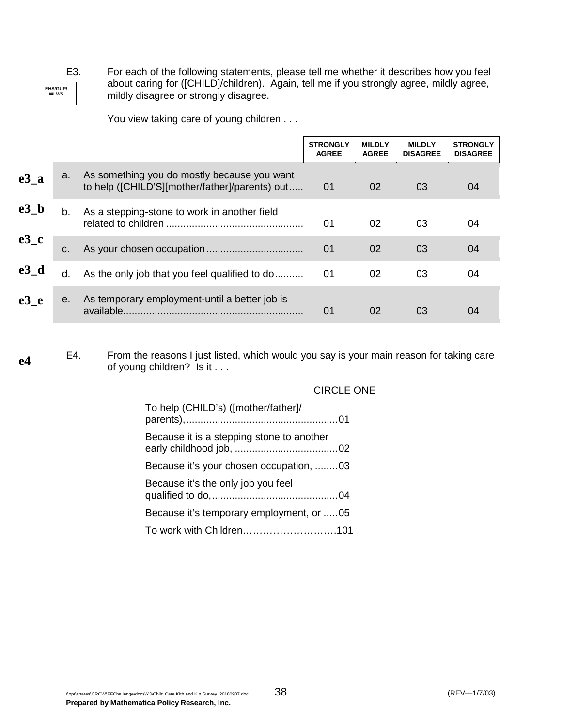**EHS/GUP/ WLWS**

E3. For each of the following statements, please tell me whether it describes how you feel about caring for ([CHILD]/children). Again, tell me if you strongly agree, mildly agree, mildly disagree or strongly disagree.

You view taking care of young children . . .

|        |    |                                                                                               | <b>STRONGLY</b><br><b>AGREE</b> | <b>MILDLY</b><br><b>AGREE</b> | <b>MILDLY</b><br><b>DISAGREE</b> | <b>STRONGLY</b><br><b>DISAGREE</b> |
|--------|----|-----------------------------------------------------------------------------------------------|---------------------------------|-------------------------------|----------------------------------|------------------------------------|
| e3 a   | a. | As something you do mostly because you want<br>to help ([CHILD'S][mother/father]/parents) out | 01                              | 02                            | 03                               | 04                                 |
| e3 b   | b. | As a stepping-stone to work in another field                                                  | 01                              | 02                            | 03                               | 04                                 |
| $e3$ c | C. |                                                                                               | 01                              | 02                            | 03                               | 04                                 |
| e3 d   | d. | As the only job that you feel qualified to do                                                 | 01                              | 02                            | 03                               | 04                                 |
| e3 e   | e. | As temporary employment-until a better job is<br>available.                                   | 01                              | 02                            | 03                               | 04                                 |

E4. From the reasons I just listed, which would you say is your main reason for taking care of young children? Is it . . . **e4**

|                                           | <b>CIRCLE ONE</b> |
|-------------------------------------------|-------------------|
| To help (CHILD's) ([mother/father]/       |                   |
| Because it is a stepping stone to another |                   |
| Because it's your chosen occupation, 03   |                   |
| Because it's the only job you feel        |                   |
| Because it's temporary employment, or 05  |                   |
| To work with Children101                  |                   |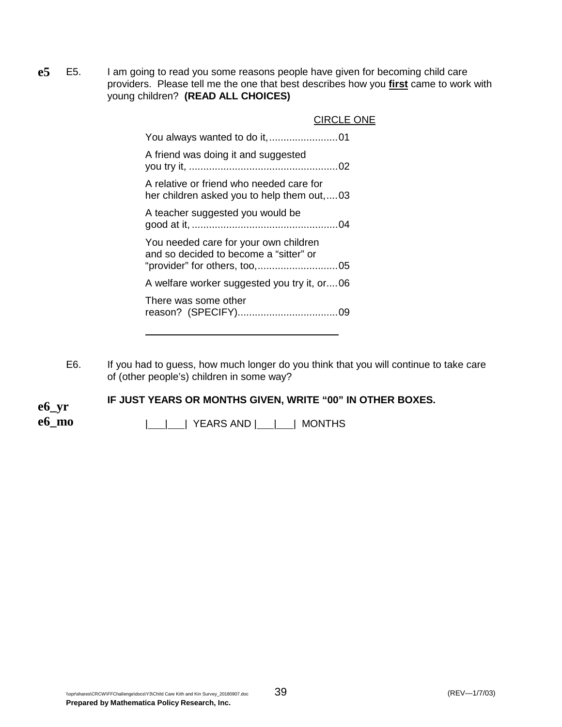E5. I am going to read you some reasons people have given for becoming child care providers. Please tell me the one that best describes how you **first** came to work with young children? **(READ ALL CHOICES) e5**

|                                                                                        | <b>CIRCLE ONE</b> |
|----------------------------------------------------------------------------------------|-------------------|
| You always wanted to do it,01                                                          |                   |
| A friend was doing it and suggested                                                    |                   |
| A relative or friend who needed care for<br>her children asked you to help them out,03 |                   |
| A teacher suggested you would be                                                       |                   |
| You needed care for your own children<br>and so decided to become a "sitter" or        |                   |
| A welfare worker suggested you try it, or06                                            |                   |
| There was some other                                                                   |                   |

E6. If you had to guess, how much longer do you think that you will continue to take care of (other people's) children in some way?

## **IF JUST YEARS OR MONTHS GIVEN, WRITE "00" IN OTHER BOXES.**

**e6\_yr e6\_mo**

| | | | | YEARS AND | | | | MONTHS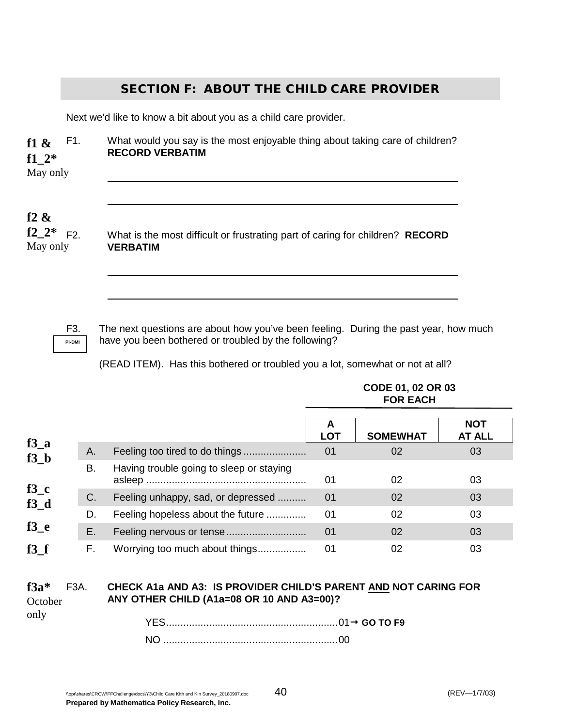## SECTION F: ABOUT THE CHILD CARE PROVIDER

Next we'd like to know a bit about you as a child care provider.

F1. What would you say is the most enjoyable thing about taking care of children? **RECORD VERBATIM f1 & f1\_2\***

May only

## **f2 &**

 $f2 \t2^*$  F<sub>2</sub>. May only

**PI-DMI**

F2. What is the most difficult or frustrating part of caring for children? **RECORD VERBATIM**

F3. The next questions are about how you've been feeling. During the past year, how much have you been bothered or troubled by the following?

(READ ITEM). Has this bothered or troubled you a lot, somewhat or not at all?

|                                    |    |                                          |                 | CODE 01, 02 OR 03 |                             |
|------------------------------------|----|------------------------------------------|-----------------|-------------------|-----------------------------|
|                                    |    |                                          | A<br><b>LOT</b> | <b>SOMEWHAT</b>   | <b>NOT</b><br><b>AT ALL</b> |
| f3a<br>$f3$ b                      | Α. |                                          | 01              | 02                | 03                          |
|                                    | В. | Having trouble going to sleep or staying | 01              | 02                | 03                          |
| $f3_c$<br>f3d<br>$f3$ <sup>e</sup> | C. | Feeling unhappy, sad, or depressed       | 01              | 02                | 03                          |
|                                    | D. | Feeling hopeless about the future        | 01              | 02                | 03                          |
|                                    | Ε. |                                          | 01              | 02                | 03                          |
| f3f                                | F. | Worrying too much about things           | 01              | 02                | 03                          |

#### F3A. **CHECK A1a AND A3: IS PROVIDER CHILD'S PARENT AND NOT CARING FOR ANY OTHER CHILD (A1a=08 OR 10 AND A3=00)? f3a\* October**

only

YES............................................................01 **GO TO F9** NO .............................................................00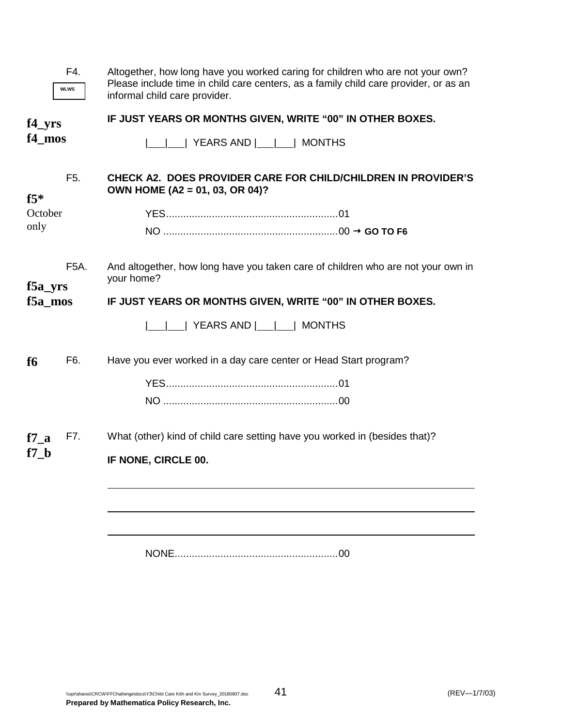| F4.<br><b>WLWS</b>        | Altogether, how long have you worked caring for children who are not your own?<br>Please include time in child care centers, as a family child care provider, or as an<br>informal child care provider. |
|---------------------------|---------------------------------------------------------------------------------------------------------------------------------------------------------------------------------------------------------|
| $f4_{yrs}$                | IF JUST YEARS OR MONTHS GIVEN, WRITE "00" IN OTHER BOXES.                                                                                                                                               |
| f4_mos                    | YEARS AND       MONTHS                                                                                                                                                                                  |
| F <sub>5</sub> .<br>$f5*$ | <b>CHECK A2. DOES PROVIDER CARE FOR CHILD/CHILDREN IN PROVIDER'S</b><br>OWN HOME (A2 = 01, 03, OR 04)?                                                                                                  |
| October                   |                                                                                                                                                                                                         |
| only                      |                                                                                                                                                                                                         |
| F5A.<br>$f5a_{yrs}$       | And altogether, how long have you taken care of children who are not your own in<br>your home?                                                                                                          |
| f5a_mos                   | IF JUST YEARS OR MONTHS GIVEN, WRITE "00" IN OTHER BOXES.                                                                                                                                               |
|                           | YEARS AND       MONTHS                                                                                                                                                                                  |
| F6.<br>f6                 | Have you ever worked in a day care center or Head Start program?                                                                                                                                        |
|                           |                                                                                                                                                                                                         |
|                           |                                                                                                                                                                                                         |
| F7.<br>f7a                | What (other) kind of child care setting have you worked in (besides that)?                                                                                                                              |
| $f7$ b                    | IF NONE, CIRCLE 00.                                                                                                                                                                                     |
|                           |                                                                                                                                                                                                         |
|                           |                                                                                                                                                                                                         |
|                           |                                                                                                                                                                                                         |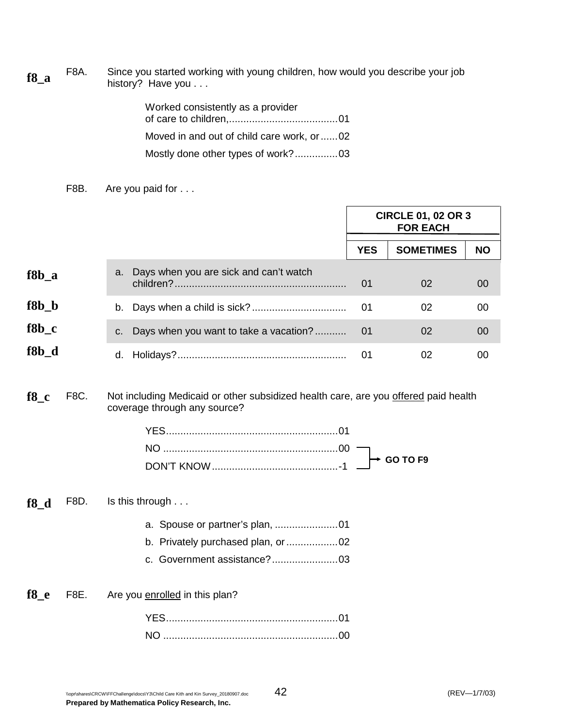F8A. Since you started working with young children, how would you describe your job history? Have you . . . **f8\_a**

| Worked consistently as a provider          |
|--------------------------------------------|
|                                            |
| Moved in and out of child care work, or 02 |
|                                            |

## F8B. Are you paid for . . .

|                    |    |                                           | <b>CIRCLE 01, 02 OR 3</b><br><b>FOR EACH</b> |                  |           |
|--------------------|----|-------------------------------------------|----------------------------------------------|------------------|-----------|
|                    |    |                                           | <b>YES</b>                                   | <b>SOMETIMES</b> | <b>NO</b> |
| $f8b_a$            | a. | Days when you are sick and can't watch    | 01                                           | 02               | 00        |
| $f8b_b$            |    |                                           | -01                                          | 02               | 00        |
| $f8b$ <sub>c</sub> |    | c. Days when you want to take a vacation? | -01                                          | 02               | 00        |
| f8b d              | d. |                                           | 01                                           | 02               | ΩO        |

#### F8C. Not including Medicaid or other subsidized health care, are you offered paid health coverage through any source? **f8\_c**

#### F8D. Is this through . . . **f8\_d**

|  |  |  | a. Spouse or partner's plan, 01 |  |  |
|--|--|--|---------------------------------|--|--|
|--|--|--|---------------------------------|--|--|

- b. Privately purchased plan, or..................02
- c. Government assistance?.......................03

#### F8E. Are you enrolled in this plan? **f8\_e**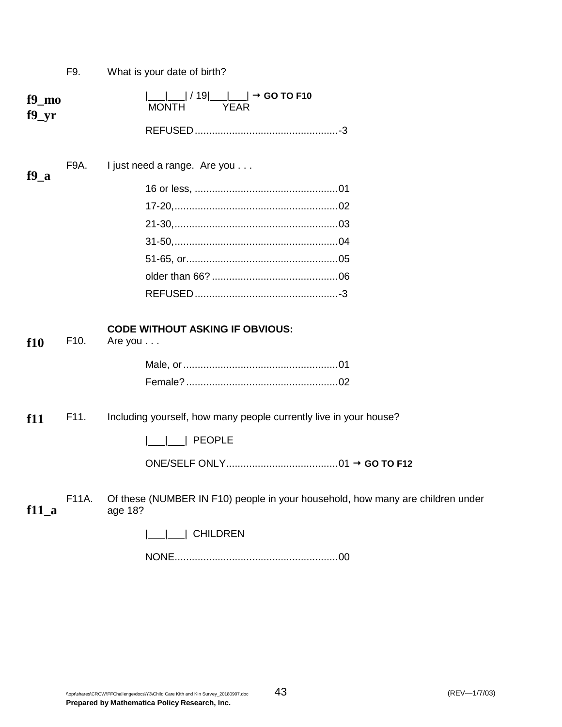| F9.<br>What is your date of birth? |  |
|------------------------------------|--|
|------------------------------------|--|

| $f9 \text{ mo}$<br>$f9 \text{ yr}$ | $ $   $ /19 $   $\rightarrow$ GO TO F10<br><b>MONTH</b><br>YFAR |  |
|------------------------------------|-----------------------------------------------------------------|--|
|                                    |                                                                 |  |

## F9A. I just need a range. Are you . . .

**f9\_a**

## **CODE WITHOUT ASKING IF OBVIOUS:**

F10. Are you . . . **f10**

F11. Including yourself, how many people currently live in your house? **f11**

| | | PEOPLE

ONE/SELF ONLY.......................................01 **GO TO F12**

F11A. Of these (NUMBER IN F10) people in your household, how many are children under age 18? **f11\_a**

|**||** CHILDREN

NONE.........................................................00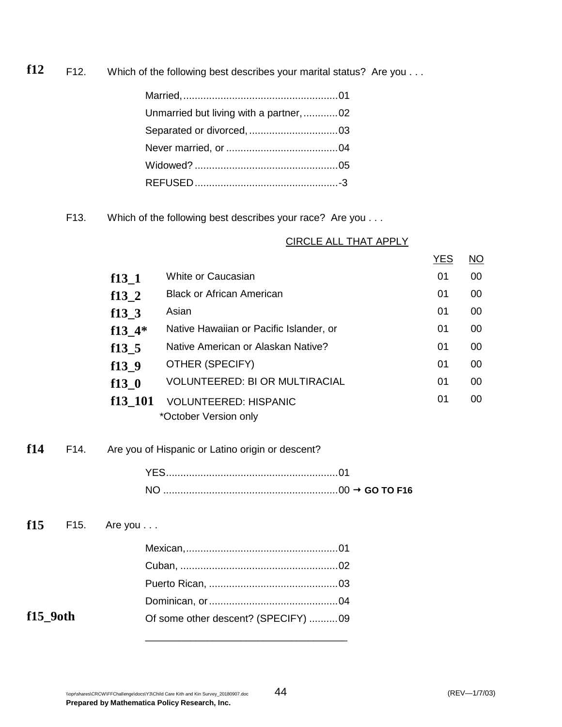F12. Which of the following best describes your marital status? Are you . . . **f12**

| Unmarried but living with a partner, 02 |  |
|-----------------------------------------|--|
|                                         |  |
|                                         |  |
|                                         |  |
|                                         |  |

F13. Which of the following best describes your race? Are you . . .

## CIRCLE ALL THAT APPLY

|             |                   |                  |                                                  | <b>YES</b> | <b>NO</b> |
|-------------|-------------------|------------------|--------------------------------------------------|------------|-----------|
|             |                   | $f13_1$          | White or Caucasian                               | 01         | 00        |
|             |                   | $f13$ 2          | <b>Black or African American</b>                 | 01         | 00        |
|             |                   | $f13$ 3          | Asian                                            | 01         | 00        |
|             |                   | $f13$ 4*         | Native Hawaiian or Pacific Islander, or          | 01         | 00        |
|             |                   | f13 <sub>5</sub> | Native American or Alaskan Native?               | 01         | 00        |
|             |                   | f139             | <b>OTHER (SPECIFY)</b>                           | 01         | 00        |
|             |                   | $f13_0$          | <b>VOLUNTEERED: BI OR MULTIRACIAL</b>            | 01         | 00        |
|             |                   | $f13$ 101        | <b>VOLUNTEERED: HISPANIC</b>                     | 01         | 00        |
|             |                   |                  | *October Version only                            |            |           |
| f14         | F14.              |                  | Are you of Hispanic or Latino origin or descent? |            |           |
| f15         | F <sub>15</sub> . | Are you $\ldots$ |                                                  |            |           |
|             |                   |                  |                                                  |            |           |
|             |                   |                  |                                                  |            |           |
|             |                   |                  |                                                  |            |           |
|             |                   |                  |                                                  |            |           |
| $f15_9$ oth |                   |                  | Of some other descent? (SPECIFY) 09              |            |           |

\_\_\_\_\_\_\_\_\_\_\_\_\_\_\_\_\_\_\_\_\_\_\_\_\_\_\_\_\_\_\_\_\_\_\_\_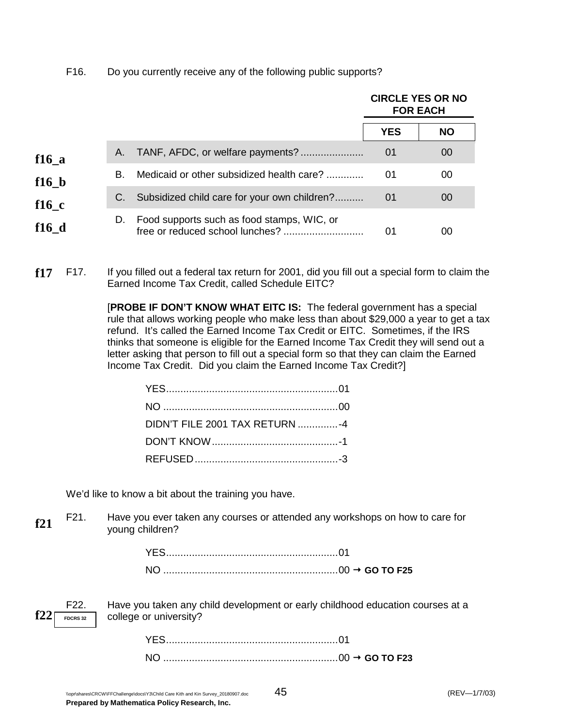F16. Do you currently receive any of the following public supports?

|                |    |                                              | <b>CIRCLE YES OR NO</b><br><b>FOR EACH</b> |           |
|----------------|----|----------------------------------------------|--------------------------------------------|-----------|
|                |    |                                              | <b>YES</b>                                 | <b>NO</b> |
| f16a           | A. | TANF, AFDC, or welfare payments?             | 01                                         | 00        |
| $f16$ b        | B. | Medicaid or other subsidized health care?    | 01                                         | 00        |
| f16 $\epsilon$ | C. | Subsidized child care for your own children? | 01                                         | 00        |
| $f16$ d        | D. | Food supports such as food stamps, WIC, or   | 01                                         | 00        |

F17. If you filled out a federal tax return for 2001, did you fill out a special form to claim the Earned Income Tax Credit, called Schedule EITC? **f17**

> [**PROBE IF DON'T KNOW WHAT EITC IS:** The federal government has a special rule that allows working people who make less than about \$29,000 a year to get a tax refund. It's called the Earned Income Tax Credit or EITC. Sometimes, if the IRS thinks that someone is eligible for the Earned Income Tax Credit they will send out a letter asking that person to fill out a special form so that they can claim the Earned Income Tax Credit. Did you claim the Earned Income Tax Credit?]

| DIDN'T FILE 2001 TAX RETURN  -4 |  |
|---------------------------------|--|
|                                 |  |
|                                 |  |

We'd like to know a bit about the training you have.

F21. Have you ever taken any courses or attended any workshops on how to care for young children? **f21**

F22. Have you taken any child development or early childhood education courses at a college or university? **FDCRS 32 f22**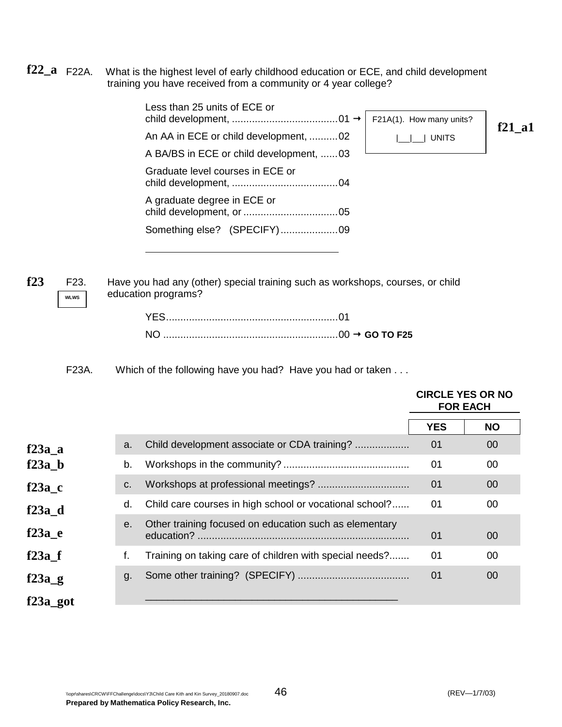What is the highest level of early childhood education or ECE, and child development training you have received from a community or 4 year college? **f22\_a**

| Less than 25 units of ECE or            |  |
|-----------------------------------------|--|
| An AA in ECE or child development, 02   |  |
| A BA/BS in ECE or child development, 03 |  |
| Graduate level courses in ECE or        |  |
| A graduate degree in ECE or             |  |
| Something else? (SPECIFY)09             |  |
|                                         |  |

F21A(1). How many units?  $|\_$   $|$  UNITS

**f21\_a1**

| f23 | F23. | Have you had any (other) special training such as workshops, courses, or child |
|-----|------|--------------------------------------------------------------------------------|
|     | WLWS | education programs?                                                            |

F23A. Which of the following have you had? Have you had or taken . . .

|            |                |                                                         | UINULL TLU UINTU<br><b>FOR EACH</b> |           |
|------------|----------------|---------------------------------------------------------|-------------------------------------|-----------|
|            |                |                                                         | <b>YES</b>                          | <b>NO</b> |
| $f23a$ a   | a.             | Child development associate or CDA training?            | 01                                  | 00        |
| $f23a$ b   | b.             |                                                         | 01                                  | 00        |
| $f23a$ c   | C.             |                                                         | 01                                  | $00\,$    |
| $f23a_d$   | d.             | Child care courses in high school or vocational school? | 01                                  | 00        |
| $f23a_e$   | e <sub>1</sub> | Other training focused on education such as elementary  | 01                                  | 00        |
| $f23a$ f   | f.             | Training on taking care of children with special needs? | 01                                  | 00        |
| $f23a_g$   | g.             |                                                         | 01                                  | 00        |
| $f23a$ got |                |                                                         |                                     |           |

**CIRCLE YES OR NO**

 $\frac{1}{46}$  \\opr\shares\CRCW\FFChallenge\docs\Y3\Child Care Kith and Kin Survey\_20180907.doc  $\frac{46}{46}$ **Prepared by Mathematica Policy Research, Inc.**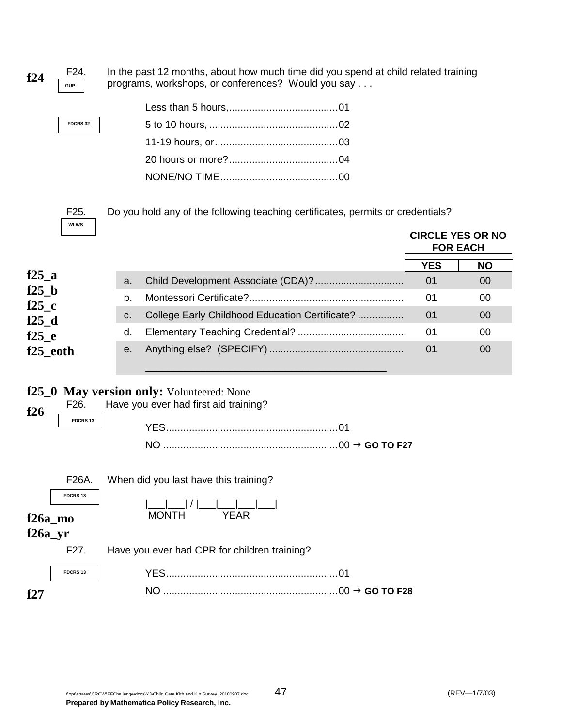| GUP |
|-----|

**FDCRS 32**

F24. In the past 12 months, about how much time did you spend at child related training programs, workshops, or conferences? Would you say . . .

F25. Do you hold any of the following teaching certificates, permits or credentials?

|    |     | <b>CIRCLE YES OR NO</b><br><b>FOR EACH</b>     |
|----|-----|------------------------------------------------|
|    | YES | <b>NO</b>                                      |
| a. | 01  | 00                                             |
| b. | 01  | 00                                             |
| C. | 01  | 00                                             |
| d. | 01  | 00                                             |
| е. | 01  | 00 <sup>°</sup>                                |
|    |     | College Early Childhood Education Certificate? |

## **f25\_0 May version only:** Volunteered: None

| f26         | $\cdots$<br>$\sqrt{2}$<br>Have you ever had first aid training?<br>F26. |                                                                      |     |
|-------------|-------------------------------------------------------------------------|----------------------------------------------------------------------|-----|
|             | FDCRS <sub>13</sub>                                                     |                                                                      | .01 |
|             |                                                                         |                                                                      |     |
| $f26a$ mo   | F26A.<br>FDCRS <sub>13</sub>                                            | When did you last have this training?<br><b>MONTH</b><br><b>YEAR</b> |     |
| $f26a_{y}r$ | F27.                                                                    | Have you ever had CPR for children training?                         |     |
|             | FDCRS <sub>13</sub>                                                     | NO.                                                                  | .01 |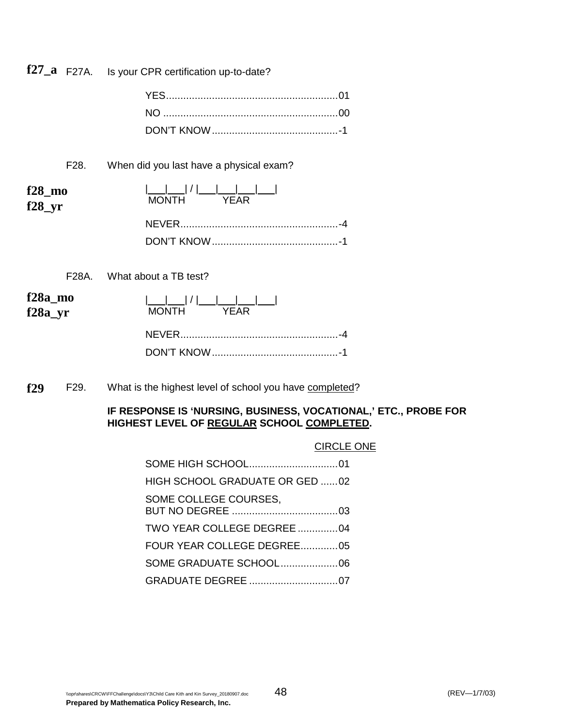f27\_a F27A. Is your CPR certification up-to-date?

F28. When did you last have a physical exam?

| $f28$ mo<br>$f28$ yr | MONTH YFAR |  |
|----------------------|------------|--|
|                      |            |  |
|                      |            |  |

F28A. What about a TB test?

| $f28a$ mo<br>$f28a_{y}$ | MONTH YFAR |  |
|-------------------------|------------|--|
|                         |            |  |
|                         |            |  |

F29. What is the highest level of school you have completed? **f29**

## **IF RESPONSE IS 'NURSING, BUSINESS, VOCATIONAL,' ETC., PROBE FOR HIGHEST LEVEL OF REGULAR SCHOOL COMPLETED.**

|                                | <b>CIRCLE ONE</b> |
|--------------------------------|-------------------|
|                                |                   |
| HIGH SCHOOL GRADUATE OR GED 02 |                   |
| SOME COLLEGE COURSES,          |                   |
| TWO YEAR COLLEGE DEGREE 04     |                   |
| FOUR YEAR COLLEGE DEGREE05     |                   |
|                                |                   |
| GRADUATE DEGREE                |                   |